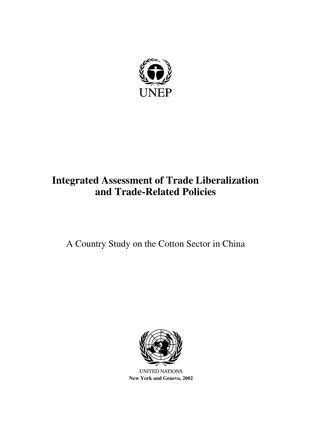

# **Integrated Assessment of Trade Liberalization and Trade-Related Policies**

# A Country Study on the Cotton Sector in China



**New York and Geneva, 2002**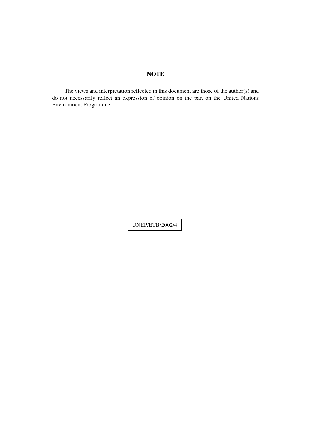# **NOTE**

The views and interpretation reflected in this document are those of the author(s) and do not necessarily reflect an expression of opinion on the part on the United Nations Environment Programme.

UNEP/ETB/2002/4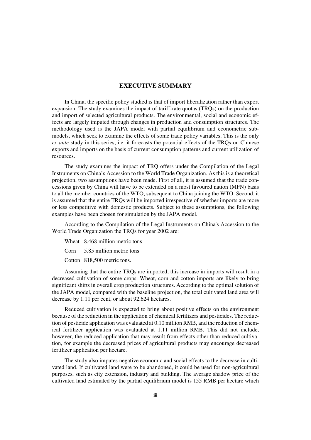# **EXECUTIVE SUMMARY**

In China, the specific policy studied is that of import liberalization rather than export expansion. The study examines the impact of tariff-rate quotas (TRQs) on the production and import of selected agricultural products. The environmental, social and economic effects are largely imputed through changes in production and consumption structures. The methodology used is the JAPA model with partial equilibrium and econometric submodels, which seek to examine the effects of some trade policy variables. This is the only *ex ante* study in this series, i.e. it forecasts the potential effects of the TRQs on Chinese exports and imports on the basis of current consumption patterns and current utilization of resources.

The study examines the impact of TRQ offers under the Compilation of the Legal Instruments on China's Accession to the World Trade Organization. As this is a theoretical projection, two assumptions have been made. First of all, it is assumed that the trade concessions given by China will have to be extended on a most favoured nation (MFN) basis to all the member countries of the WTO, subsequent to China joining the WTO. Second, it is assumed that the entire TRQs will be imported irrespective of whether imports are more or less competitive with domestic products. Subject to these assumptions, the following examples have been chosen for simulation by the JAPA model.

According to the Compilation of the Legal Instruments on China's Accession to the World Trade Organization the TRQs for year 2002 are:

Wheat 8.468 million metric tons

Corn 5.85 million metric tons

Cotton 818,500 metric tons.

Assuming that the entire TRQs are imported, this increase in imports will result in a decreased cultivation of some crops. Wheat, corn and cotton imports are likely to bring significant shifts in overall crop production structures. According to the optimal solution of the JAPA model, compared with the baseline projection, the total cultivated land area will decrease by 1.11 per cent, or about 92,624 hectares.

Reduced cultivation is expected to bring about positive effects on the environment because of the reduction in the application of chemical fertilizers and pesticides. The reduction of pesticide application was evaluated at 0.10 million RMB, and the reduction of chemical fertilizer application was evaluated at 1.11 million RMB. This did not include, however, the reduced application that may result from effects other than reduced cultivation, for example the decreased prices of agricultural products may encourage decreased fertilizer application per hectare.

The study also imputes negative economic and social effects to the decrease in cultivated land. If cultivated land were to be abandoned, it could be used for non-agricultural purposes, such as city extension, industry and building. The average shadow price of the cultivated land estimated by the partial equilibrium model is 155 RMB per hectare which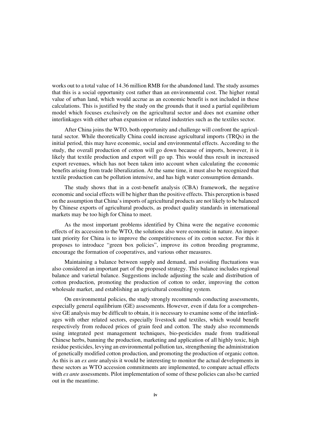works out to a total value of 14.36 million RMB for the abandoned land. The study assumes that this is a social opportunity cost rather than an environmental cost. The higher rental value of urban land, which would accrue as an economic benefit is not included in these calculations. This is justified by the study on the grounds that it used a partial equilibrium model which focuses exclusively on the agricultural sector and does not examine other interlinkages with either urban expansion or related industries such as the textiles sector.

After China joins the WTO, both opportunity and challenge will confront the agricultural sector. While theoretically China could increase agricultural imports (TRQs) in the initial period, this may have economic, social and environmental effects. According to the study, the overall production of cotton will go down because of imports, however, it is likely that textile production and export will go up. This would thus result in increased export revenues, which has not been taken into account when calculating the economic benefits arising from trade liberalization. At the same time, it must also be recognized that textile production can be pollution intensive, and has high water consumption demands.

The study shows that in a cost-benefit analysis (CBA) framework, the negative economic and social effects will be higher than the positive effects. This perception is based on the assumption that China's imports of agricultural products are not likely to be balanced by Chinese exports of agricultural products, as product quality standards in international markets may be too high for China to meet.

As the most important problems identified by China were the negative economic effects of its accession to the WTO, the solutions also were economic in nature. An important priority for China is to improve the competitiveness of its cotton sector. For this it proposes to introduce "green box policies", improve its cotton breeding programme, encourage the formation of cooperatives, and various other measures.

Maintaining a balance between supply and demand, and avoiding fluctuations was also considered an important part of the proposed strategy. This balance includes regional balance and varietal balance. Suggestions include adjusting the scale and distribution of cotton production, promoting the production of cotton to order, improving the cotton wholesale market, and establishing an agricultural consulting system.

On environmental policies, the study strongly recommends conducting assessments, especially general equilibrium (GE) assessments. However, even if data for a comprehensive GE analysis may be difficult to obtain, it is necessary to examine some of the interlinkages with other related sectors, especially livestock and textiles, which would benefit respectively from reduced prices of grain feed and cotton. The study also recommends using integrated pest management techniques, bio-pesticides made from traditional Chinese herbs, banning the production, marketing and application of all highly toxic, high residue pesticides, levying an environmental pollution tax, strengthening the administration of genetically modified cotton production, and promoting the production of organic cotton. As this is an *ex ante* analysis it would be interesting to monitor the actual developments in these sectors as WTO accession commitments are implemented, to compare actual effects with *ex ante* assessments. Pilot implementation of some of these policies can also be carried out in the meantime.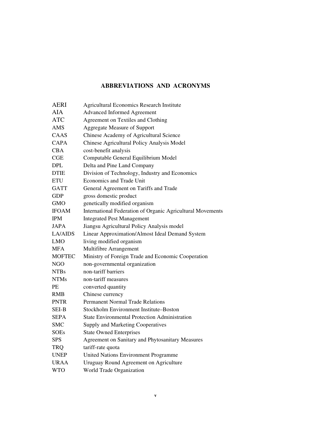# **ABBREVIATIONS AND ACRONYMS**

| AERI             | <b>Agricultural Economics Research Institute</b>           |
|------------------|------------------------------------------------------------|
| AIA              | <b>Advanced Informed Agreement</b>                         |
| <b>ATC</b>       | Agreement on Textiles and Clothing                         |
| AMS              | <b>Aggregate Measure of Support</b>                        |
| CAAS             | Chinese Academy of Agricultural Science                    |
| <b>CAPA</b>      | Chinese Agricultural Policy Analysis Model                 |
| <b>CBA</b>       | cost-benefit analysis                                      |
| CGE              | Computable General Equilibrium Model                       |
| DPL              | Delta and Pine Land Company                                |
| <b>DTIE</b>      | Division of Technology, Industry and Economics             |
| <b>ETU</b>       | Economics and Trade Unit                                   |
| <b>GATT</b>      | General Agreement on Tariffs and Trade                     |
| <b>GDP</b>       | gross domestic product                                     |
| <b>GMO</b>       | genetically modified organism                              |
| <b>IFOAM</b>     | International Federation of Organic Agricultural Movements |
| <b>IPM</b>       | <b>Integrated Pest Management</b>                          |
| JAPA             | Jiangsu Agricultural Policy Analysis model                 |
| LA/AIDS          | Linear Approximation/Almost Ideal Demand System            |
| LMO              | living modified organism                                   |
| MFA              | Multifibre Arrangement                                     |
| <b>MOFTEC</b>    | Ministry of Foreign Trade and Economic Cooperation         |
| NGO              | non-governmental organization                              |
| NTB <sub>s</sub> | non-tariff barriers                                        |
| <b>NTMs</b>      | non-tariff measures                                        |
| PE               | converted quantity                                         |
| <b>RMB</b>       | Chinese currency                                           |
| <b>PNTR</b>      | <b>Permanent Normal Trade Relations</b>                    |
| SEI-B            | Stockholm Environment Institute–Boston                     |
| SEPA             | <b>State Environmental Protection Administration</b>       |
| <b>SMC</b>       | <b>Supply and Marketing Cooperatives</b>                   |
| SOEs             | <b>State Owned Enterprises</b>                             |
| <b>SPS</b>       | Agreement on Sanitary and Phytosanitary Measures           |
| <b>TRQ</b>       | tariff-rate quota                                          |
| <b>UNEP</b>      | <b>United Nations Environment Programme</b>                |
| URAA             | Uruguay Round Agreement on Agriculture                     |
| <b>WTO</b>       | World Trade Organization                                   |
|                  |                                                            |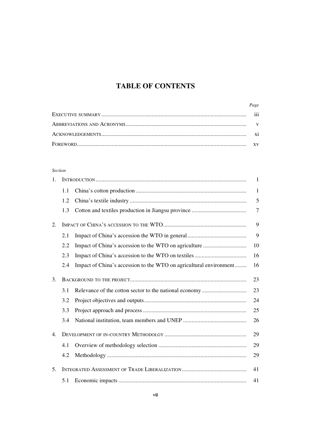# **TABLE OF CONTENTS**

| Page |
|------|
| 111  |
|      |
|      |
|      |

# *Section*

| 1.             |     |                                                                    | 1      |
|----------------|-----|--------------------------------------------------------------------|--------|
|                | 1.1 |                                                                    | 1      |
|                | 1.2 |                                                                    | 5      |
|                | 1.3 |                                                                    | $\tau$ |
| 2.             |     |                                                                    | 9      |
|                | 2.1 |                                                                    | 9      |
|                | 2.2 |                                                                    | 10     |
|                | 2.3 |                                                                    | 16     |
|                | 2.4 | Impact of China's accession to the WTO on agricultural environment | 16     |
| 3.             |     |                                                                    | 23     |
|                | 3.1 |                                                                    | 23     |
|                | 3.2 |                                                                    | 24     |
|                | 3.3 |                                                                    | 25     |
|                | 3.4 |                                                                    | 26     |
| 4.             |     |                                                                    | 29     |
|                | 4.1 |                                                                    | 29     |
|                | 4.2 |                                                                    | 29     |
| 5 <sub>1</sub> |     |                                                                    | 41     |
|                | 5.1 |                                                                    | 41     |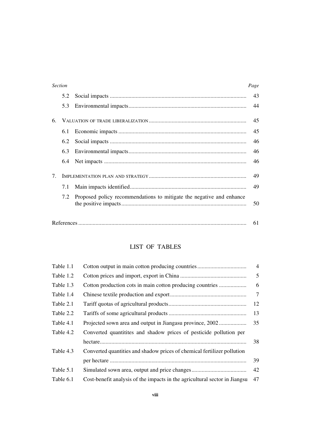|    | <b>Section</b> |                                                                      | Page |
|----|----------------|----------------------------------------------------------------------|------|
|    | 5.2            |                                                                      | 43   |
|    | 5.3            |                                                                      | 44   |
| 6. |                |                                                                      | 45   |
|    | 6.1            |                                                                      | 45   |
|    | 6.2            |                                                                      | 46   |
|    | 6.3            |                                                                      | 46   |
|    | 6.4            |                                                                      | 46   |
| 7. |                |                                                                      | 49   |
|    | 7.1            |                                                                      | 49   |
|    | 7.2            | Proposed policy recommendations to mitigate the negative and enhance | 50   |
|    |                |                                                                      |      |

# LIST OF TABLES

References ..................................................................................................................... 61

| Table 1.1 |                                                                            | $\overline{4}$ |
|-----------|----------------------------------------------------------------------------|----------------|
| Table 1.2 |                                                                            | 5              |
| Table 1.3 | Cotton production cots in main cotton producing countries                  | 6              |
| Table 1.4 |                                                                            | $\overline{7}$ |
| Table 2.1 |                                                                            | 12             |
| Table 2.2 |                                                                            | 13             |
| Table 4.1 | Projected sown area and output in Jiangasu province, 2002                  | 35             |
| Table 4.2 | Converted quantitities and shadow prices of pesticide pollution per        |                |
|           |                                                                            | 38             |
| Table 4.3 | Converted quantities and shadow prices of chemical fertilizer pollution    |                |
|           |                                                                            | 39             |
| Table 5.1 |                                                                            | 42             |
| Table 6.1 | Cost-benefit analysis of the impacts in the agricultural sector in Jiangsu | 47             |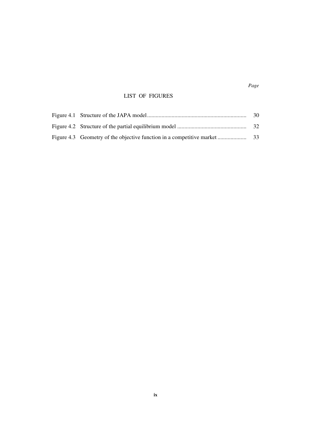# LIST OF FIGURES

|  | -30 |
|--|-----|
|  |     |
|  |     |

*Page*

# **ix**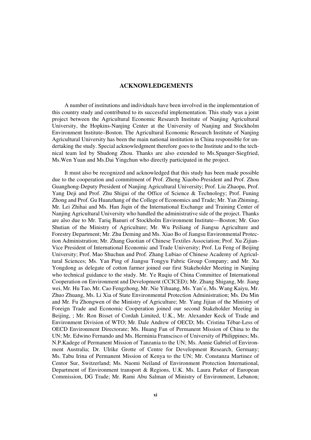# **ACKNOWLEDGEMENTS**

A number of institutions and individuals have been involved in the implementation of this country study and contributed to its successful implementation. This study was a joint project between the Agricultural Economic Research Institute of Nanjing Agricultural University, the Hopkins-Nanjing Center at the University of Nanjing and Stockholm Environment Institute–Boston. The Agricultural Economic Research Institute of Nanjing Agricultural University has been the main national institution in China responsible for undertaking the study. Special acknowledgment therefore goes to the Institute and to the technical team led by Shudong Zhou. Thanks are also extended to Ms.Spanger-Siegfried, Ms.Wen Yuan and Ms.Dai Yingchun who directly participated in the project.

It must also be recognized and acknowledged that this study has been made possible due to the cooperation and commitment of Prof. Zheng Xiaobo-President and Prof. Zhou Guanghong-Deputy President of Nanjing Agricultural University; Prof. Liu Zhaopu, Prof. Yang Deji and Prof. Zhu Shigui of the Office of Science & Technology; Prof. Funing Zhong and Prof. Gu Huanzhang of the College of Economics and Trade; Mr. Yan Zhiming, Mr. Lei Zhihai and Ms. Han Jiqin of the International Exchange and Training Center of Nanjing Agricultural University who handled the administrative side of the project. Thanks are also due to Mr. Tariq Banuri of Stockholm Environment Institute—Boston; Mr. Guo Shutian of the Ministry of Agriculture; Mr. Wu Peiliang of Jiangsu Agriculture and Forestry Department; Mr. Zhu Deming and Ms. Xiao Bo of Jiangsu Environmental Protection Administration; Mr. Zhang Guotian of Chinese Textiles Association; Prof. Xu Zijian-Vice President of International Economic and Trade University; Prof. Lu Feng of Beijing University; Prof. Mao Shuchun and Prof. Zhang Lubiao of Chinese Academy of Agricultural Sciences; Ms. Yan Ping of Jiangsu Tongyu Fabric Group Company; and Mr. Xu Yongdong as delegate of cotton farmer joined our first Stakeholder Meeting in Nanjing who technical guidance to the study. Mr. Ye Ruqiu of China Committee of International Cooperation on Environment and Development (CCICED); Mr. Zhang Shigang, Mr. Jiang wei, Mr. Hu Tao, Mr. Cao Fengzhong, Mr. Nie Yihuang, Ms. Yan'e, Ms. Wang Kaiyu, Mr. Zhuo Zhuang, Ms. Li Xia of State Environmental Protection Administration; Ms. Du Min and Mr. Fu Zhongwen of the Ministry of Agriculture; Mr. Yang Jijian of the Ministry of Foreign Trade and Economic Cooperation joined our second Stakeholder Meeting in Beijing, ; Mr. Ron Bisset of Cordah Limited, U.K., Mr. Alexander Keck of Trade and Environment Division of WTO; Mr. Dale Andrew of OECD; Ms. Cristina Tébar-Less of OECD Environment Directorate; Ms. Huang Fan of Permanent Mission of China to the UN; Mr. Edwino Fernando and Ms. Herminia Franscisco of University of Philippines; Ms. N.P.Kadege of Permanent Mission of Tanzania to the UN; Ms. Annie Gabriel of Environment Australia; Dr. Ulrike Grotte of Centre for Development Research, Germany; Ms. Tabu Irina of Permanent Mission of Kenya to the UN; Mr. Constanza Martinez of Centor Sur, Switzerland; Ms. Naomi Neiland of Environment Protection International, Department of Environment transport & Regions, U.K. Ms. Laura Parker of European Commission, DG Trade; Mr. Rami Abu Salman of Ministry of Environment, Lebanon;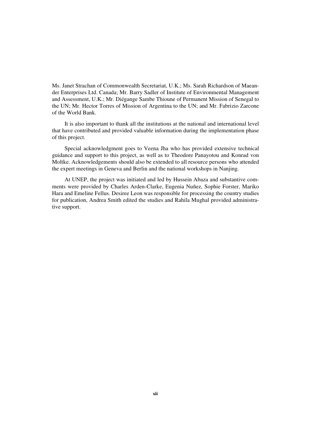Ms. Janet Strachan of Commonwealth Secretariat, U.K.; Ms. Sarah Richardson of Maeander Enterprises Ltd. Canada; Mr. Barry Sadler of Institute of Environmental Management and Assessment, U.K.; Mr. Diégange Sambe Thioune of Permanent Mission of Senegal to the UN; Mr. Hector Torres of Mission of Argentina to the UN; and Mr. Fabrizio Zarcone of the World Bank.

It is also important to thank all the institutions at the national and international level that have contributed and provided valuable information during the implementation phase of this project.

Special acknowledgment goes to Veena Jha who has provided extensive technical guidance and support to this project, as well as to Theodore Panayotou and Konrad von Moltke. Acknowledgements should also be extended to all resource persons who attended the expert meetings in Geneva and Berlin and the national workshops in Nanjing.

At UNEP, the project was initiated and led by Hussein Abaza and substantive comments were provided by Charles Arden-Clarke, Eugenia Nuñez, Sophie Forster, Mariko Hara and Emeline Fellus. Desiree Leon was responsible for processing the country studies for publication, Andrea Smith edited the studies and Rahila Mughal provided administrative support.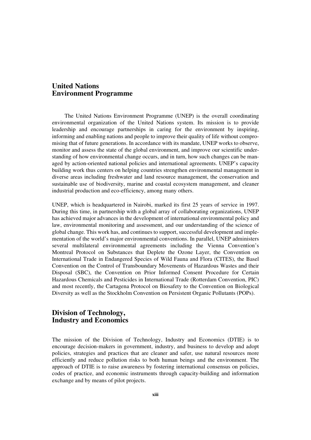# **United Nations Environment Programme**

The United Nations Environment Programme (UNEP) is the overall coordinating environmental organization of the United Nations system. Its mission is to provide leadership and encourage partnerships in caring for the environment by inspiring, informing and enabling nations and people to improve their quality of life without compromising that of future generations. In accordance with its mandate, UNEP works to observe, monitor and assess the state of the global environment, and improve our scientific understanding of how environmental change occurs, and in turn, how such changes can be managed by action-oriented national policies and international agreements. UNEP's capacity building work thus centers on helping countries strengthen environmental management in diverse areas including freshwater and land resource management, the conservation and sustainable use of biodiversity, marine and coastal ecosystem management, and cleaner industrial production and eco-efficiency, among many others.

UNEP, which is headquartered in Nairobi, marked its first 25 years of service in 1997. During this time, in partnership with a global array of collaborating organizations, UNEP has achieved major advances in the development of international environmental policy and law, environmental monitoring and assessment, and our understanding of the science of global change. This work has, and continues to support, successful development and implementation of the world's major environmental conventions. In parallel, UNEP administers several multilateral environmental agreements including the Vienna Convention's Montreal Protocol on Substances that Deplete the Ozone Layer, the Convention on International Trade in Endangered Species of Wild Fauna and Flora (CITES), the Basel Convention on the Control of Transboundary Movements of Hazardous Wastes and their Disposal (SBC), the Convention on Prior Informed Consent Procedure for Certain Hazardous Chemicals and Pesticides in International Trade (Rotterdam Convention, PIC) and most recently, the Cartagena Protocol on Biosafety to the Convention on Biological Diversity as well as the Stockholm Convention on Persistent Organic Pollutants (POPs).

# **Division of Technology, Industry and Economics**

The mission of the Division of Technology, Industry and Economics (DTIE) is to encourage decision-makers in government, industry, and business to develop and adopt policies, strategies and practices that are cleaner and safer, use natural resources more efficiently and reduce pollution risks to both human beings and the environment. The approach of DTIE is to raise awareness by fostering international consensus on policies, codes of practice, and economic instruments through capacity-building and information exchange and by means of pilot projects.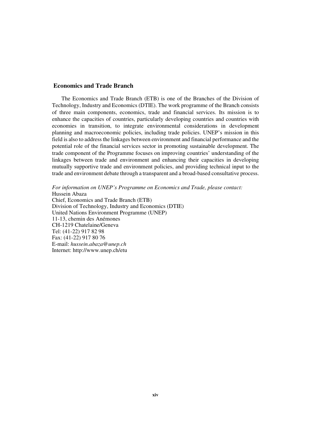# **Economics and Trade Branch**

The Economics and Trade Branch (ETB) is one of the Branches of the Division of Technology, Industry and Economics (DTIE). The work programme of the Branch consists of three main components, economics, trade and financial services. Its mission is to enhance the capacities of countries, particularly developing countries and countries with economies in transition, to integrate environmental considerations in development planning and macroeconomic policies, including trade policies. UNEP's mission in this field is also to address the linkages between environment and financial performance and the potential role of the financial services sector in promoting sustainable development. The trade component of the Programme focuses on improving countries' understanding of the linkages between trade and environment and enhancing their capacities in developing mutually supportive trade and environment policies, and providing technical input to the trade and environment debate through a transparent and a broad-based consultative process.

*For information on UNEP's Programme on Economics and Trade, please contact:* Hussein Abaza Chief, Economics and Trade Branch (ETB) Division of Technology, Industry and Economics (DTIE) United Nations Environment Programme (UNEP) 11-13, chemin des Anémones CH-1219 Chatelaine/Geneva Tel: (41-22) 917 82 98 Fax: (41-22) 917 80 76 E-mail: *hussein.abaza@unep.ch* Internet: http://www.unep.ch/etu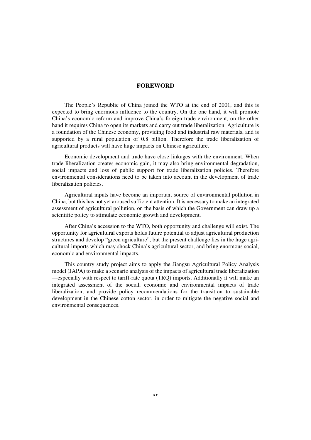# **FOREWORD**

The People's Republic of China joined the WTO at the end of 2001, and this is expected to bring enormous influence to the country. On the one hand, it will promote China's economic reform and improve China's foreign trade environment, on the other hand it requires China to open its markets and carry out trade liberalization. Agriculture is a foundation of the Chinese economy, providing food and industrial raw materials, and is supported by a rural population of 0.8 billion. Therefore the trade liberalization of agricultural products will have huge impacts on Chinese agriculture.

Economic development and trade have close linkages with the environment. When trade liberalization creates economic gain, it may also bring environmental degradation, social impacts and loss of public support for trade liberalization policies. Therefore environmental considerations need to be taken into account in the development of trade liberalization policies.

Agricultural inputs have become an important source of environmental pollution in China, but this has not yet aroused sufficient attention. It is necessary to make an integrated assessment of agricultural pollution, on the basis of which the Government can draw up a scientific policy to stimulate economic growth and development.

After China's accession to the WTO, both opportunity and challenge will exist. The opportunity for agricultural exports holds future potential to adjust agricultural production structures and develop "green agriculture", but the present challenge lies in the huge agricultural imports which may shock China's agricultural sector, and bring enormous social, economic and environmental impacts.

This country study project aims to apply the Jiangsu Agricultural Policy Analysis model (JAPA) to make a scenario analysis of the impacts of agricultural trade liberalization —especially with respect to tariff-rate quota (TRQ) imports. Additionally it will make an integrated assessment of the social, economic and environmental impacts of trade liberalization, and provide policy recommendations for the transition to sustainable development in the Chinese cotton sector, in order to mitigate the negative social and environmental consequences.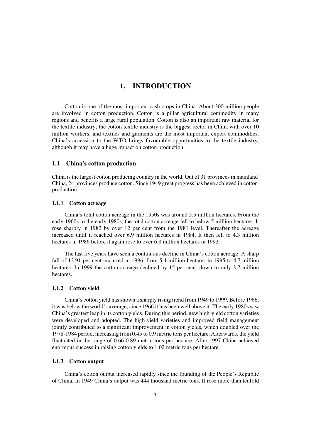# **1. INTRODUCTION**

Cotton is one of the most important cash crops in China. About 300 million people are involved in cotton production. Cotton is a pillar agricultural commodity in many regions and benefits a large rural population. Cotton is also an important raw material for the textile industry; the cotton textile industry is the biggest sector in China with over 10 million workers, and textiles and garments are the most important export commodities. China's accession to the WTO brings favourable opportunities to the textile industry, although it may have a huge impact on cotton production.

# **1.1 China's cotton production**

China is the largest cotton producing country in the world. Out of 31 provinces in mainland China, 24 provinces produce cotton. Since 1949 great progress has been achieved in cotton production.

#### **1.1.1 Cotton acreage**

China's total cotton acreage in the 1950s was around 5.5 million hectares. From the early 1960s to the early 1980s, the total cotton acreage fell to below 5 million hectares. It rose sharply in 1982 by over 12 per cent from the 1981 level. Thereafter the acreage increased until it reached over 6.9 million hectares in 1984. It then fell to 4.3 million hectares in 1986 before it again rose to over 6.8 million hectares in 1992.

The last five years have seen a continuous decline in China's cotton acreage. A sharp fall of 12.91 per cent occurred in 1996, from 5.4 million hectares in 1995 to 4.7 million hectares. In 1999 the cotton acreage declined by 15 per cent, down to only 3.7 million hectares.

#### **1.1.2 Cotton yield**

China's cotton yield has shown a sharply rising trend from 1949 to 1999. Before 1966, it was below the world's average, since 1966 it has been well above it. The early 1980s saw China's greatest leap in its cotton yields. During this period, new high-yield cotton varieties were developed and adopted. The high-yield varieties and improved field management jointly contributed to a significant improvement in cotton yields, which doubled over the 1978-1984 period, increasing from 0.45 to 0.9 metric tons per hectare. Afterwards, the yield fluctuated in the range of 0.66-0.89 metric tons per hectare. After 1997 China achieved enormous success in raising cotton yields to 1.02 metric tons per hectare.

#### **1.1.3 Cotton output**

China's cotton output increased rapidly since the founding of the People's Republic of China. In 1949 China's output was 444 thousand metric tons. It rose more than tenfold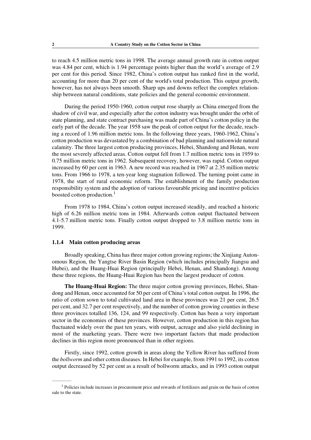to reach 4.5 million metric tons in 1998. The average annual growth rate in cotton output was 4.84 per cent, which is 1.94 percentage points higher than the world's average of 2.9 per cent for this period. Since 1982, China's cotton output has ranked first in the world, accounting for more than 20 per cent of the world's total production. This output growth, however, has not always been smooth. Sharp ups and downs reflect the complex relationship between natural conditions, state policies and the general economic environment.

During the period 1950-1960, cotton output rose sharply as China emerged from the shadow of civil war, and especially after the cotton industry was brought under the orbit of state planning, and state contract purchasing was made part of China's cotton policy in the early part of the decade. The year 1958 saw the peak of cotton output for the decade, reaching a record of 1.96 million metric tons. In the following three years, 1960-1962, China's cotton production was devastated by a combination of bad planning and nationwide natural calamity. The three largest cotton producing provinces, Hebei, Shandong and Henan, were the most severely affected areas. Cotton output fell from 1.7 million metric tons in 1959 to 0.75 million metric tons in 1962. Subsequent recovery, however, was rapid. Cotton output increased by 60 per cent in 1963. A new record was reached in 1967 at 2.35 million metric tons. From 1966 to 1978, a ten-year long stagnation followed. The turning point came in 1978, the start of rural economic reform. The establishment of the family production responsibility system and the adoption of various favourable pricing and incentive policies boosted cotton production. $<sup>1</sup>$ </sup>

From 1978 to 1984, China's cotton output increased steadily, and reached a historic high of 6.26 million metric tons in 1984. Afterwards cotton output fluctuated between 4.1-5.7 million metric tons. Finally cotton output dropped to 3.8 million metric tons in 1999.

#### **1.1.4 Main cotton producing areas**

————–—

Broadly speaking, China has three major cotton growing regions; the Xinjiang Autonomous Region, the Yangtse River Basin Region (which includes principally Jiangsu and Hubei), and the Huang-Huai Region (principally Hebei, Henan, and Shandong). Among these three regions, the Huang-Huai Region has been the largest producer of cotton.

**The Huang-Huai Region:** The three major cotton growing provinces, Hebei, Shandong and Henan, once accounted for 50 per cent of China's total cotton output. In 1996, the ratio of cotton sown to total cultivated land area in these provinces was 21 per cent, 26.5 per cent, and 32.7 per cent respectively, and the number of cotton growing counties in these three provinces totalled 136, 124, and 99 respectively. Cotton has been a very important sector in the economies of these provinces. However, cotton production in this region has fluctuated widely over the past ten years, with output, acreage and also yield declining in most of the marketing years. There were two important factors that made production declines in this region more pronounced than in other regions.

Firstly, since 1992, cotton growth in areas along the Yellow River has suffered from the *bollworm* and other cotton diseases. In Hebei for example, from 1991 to 1992, its cotton output decreased by 52 per cent as a result of bollworm attacks, and in 1993 cotton output

<sup>&</sup>lt;sup>1</sup> Policies include increases in procurement price and rewards of fertilizers and grain on the basis of cotton sale to the state.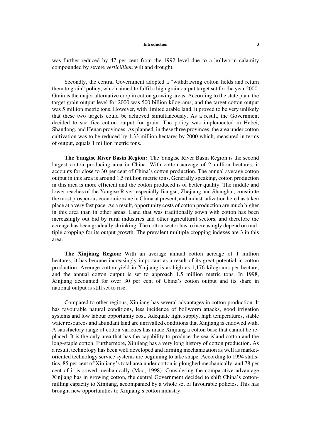was further reduced by 47 per cent from the 1992 level due to a bollworm calamity compounded by severe *verticillium* wilt and drought.

Secondly, the central Government adopted a "withdrawing cotton fields and return them to grain" policy, which aimed to fulfil a high grain output target set for the year 2000. Grain is the major alternative crop in cotton growing areas. According to the state plan, the target grain output level for 2000 was 500 billion kilograms, and the target cotton output was 5 million metric tons. However, with limited arable land, it proved to be very unlikely that these two targets could be achieved simultaneously. As a result, the Government decided to sacrifice cotton output for grain. The policy was implemented in Hebei, Shandong, and Henan provinces. As planned, in these three provinces, the area under cotton cultivation was to be reduced by 1.33 million hectares by 2000 which, measured in terms of output, equals 1 million metric tons.

**The Yangtse River Basin Region:** The Yangtse River Basin Region is the second largest cotton producing area in China. With cotton acreage of 2 million hectares, it accounts for close to 30 per cent of China's cotton production. The annual average cotton output in this area is around 1.5 million metric tons. Generally speaking, cotton production in this area is more efficient and the cotton produced is of better quality. The middle and lower reaches of the Yangtse River, especially Jiangsu, Zhejiang and Shanghai, constitute the most prosperous economic zone in China at present, and industrialization here has taken place at a very fast pace. As a result, opportunity costs of cotton production are much higher in this area than in other areas. Land that was traditionally sown with cotton has been increasingly out bid by rural industries and other agricultural sectors, and therefore the acreage has been gradually shrinking. The cotton sector has to increasingly depend on multiple cropping for its output growth. The prevalent multiple cropping indexes are 3 in this area.

**The Xinjiang Region:** With an average annual cotton acreage of 1 million hectares, it has become increasingly important as a result of its great potential in cotton production. Average cotton yield in Xinjiang is as high as 1,176 kilograms per hectare, and the annual cotton output is set to approach 1.5 million metric tons. In 1998, Xinjiang accounted for over 30 per cent of China's cotton output and its share in national output is still set to rise.

Compared to other regions, Xinjiang has several advantages in cotton production. It has favourable natural conditions, less incidence of bollworm attacks, good irrigation systems and low labour opportunity cost. Adequate light supply, high temperatures, stable water resources and abundant land are unrivalled conditions that Xinjiang is endowed with. A satisfactory range of cotton varieties has made Xinjiang a cotton base that cannot be replaced. It is the only area that has the capability to produce the sea-island cotton and the long-staple cotton. Furthermore, Xinjiang has a very long history of cotton production. As a result, technology has been well developed and farming mechanization as well as marketoriented technology service systems are beginning to take shape. According to 1994 statistics, 85 per cent of Xinjiang's total area under cotton is ploughed mechanically, and 78 per cent of it is sowed mechanically (Mao, 1998). Considering the comparative advantage Xinjiang has in growing cotton, the central Government decided to shift China's cottonmilling capacity to Xinjiang, accompanied by a whole set of favourable policies. This has brought new opportunities to Xinjiang's cotton industry.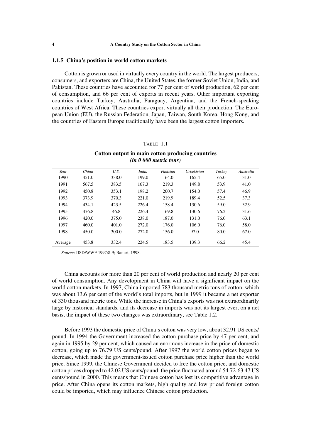#### **1.1.5 China's position in world cotton markets**

Cotton is grown or used in virtually every country in the world. The largest producers, consumers, and exporters are China, the United States, the former Soviet Union, India, and Pakistan. These countries have accounted for 77 per cent of world production, 62 per cent of consumption, and 66 per cent of exports in recent years. Other important exporting countries include Turkey, Australia, Paraguay, Argentina, and the French-speaking countries of West Africa. These countries export virtually all their production. The European Union (EU), the Russian Federation, Japan, Taiwan, South Korea, Hong Kong, and the countries of Eastern Europe traditionally have been the largest cotton importers.

#### TABLE 1.1

| Year    | China | U.S.  | India | Pakistan | <b>Uzbekistan</b> | Turkey | Australia |
|---------|-------|-------|-------|----------|-------------------|--------|-----------|
| 1990    | 451.0 | 338.0 | 199.0 | 164.0    | 165.4             | 65.0   | 31.0      |
| 1991    | 567.5 | 383.5 | 167.3 | 219.3    | 149.8             | 53.9   | 41.0      |
| 1992    | 450.8 | 353.1 | 198.2 | 200.7    | 154.0             | 57.4   | 46.9      |
| 1993    | 373.9 | 370.3 | 221.0 | 219.9    | 189.4             | 52.5   | 37.3      |
| 1994    | 434.1 | 423.5 | 226.4 | 158.4    | 130.6             | 59.0   | 32.9      |
| 1995    | 476.8 | 46.8  | 226.4 | 169.8    | 130.6             | 76.2   | 31.6      |
| 1996    | 420.0 | 375.0 | 238.0 | 187.0    | 131.0             | 76.0   | 63.1      |
| 1997    | 460.0 | 401.0 | 272.0 | 176.0    | 106.0             | 76.0   | 58.0      |
| 1998    | 450.0 | 300.0 | 272.0 | 156.0    | 97.0              | 80.0   | 67.0      |
|         |       |       |       |          |                   |        |           |
| Average | 453.8 | 332.4 | 224.5 | 183.5    | 139.3             | 66.2   | 45.4      |

# **Cotton output in main cotton producing countries** *(in 0 000 metric tons)*

*Source*: IISD/WWF 1997:8-9; Banuri, 1998.

China accounts for more than 20 per cent of world production and nearly 20 per cent of world consumption. Any development in China will have a significant impact on the world cotton markets. In 1997, China imported 783 thousand metric tons of cotton, which was about 13.6 per cent of the world's total imports, but in 1999 it became a net exporter of 330 thousand metric tons. While the increase in China's exports was not extraordinarily large by historical standards, and its decrease in imports was not its largest ever, on a net basis, the impact of these two changes was extraordinary, see Table 1.2.

Before 1993 the domestic price of China's cotton was very low, about 32.91 US cents/ pound. In 1994 the Government increased the cotton purchase price by 47 per cent, and again in 1995 by 29 per cent, which caused an enormous increase in the price of domestic cotton, going up to 76.79 US cents/pound. After 1997 the world cotton prices began to decrease, which made the government-issued cotton purchase price higher than the world price. Since 1999, the Chinese Government decided to free the cotton price, and domestic cotton prices dropped to 42.02 US cents/pound; the price fluctuated around 54.72-63.47 US cents/pound in 2000. This means that Chinese cotton has lost its competitive advantage in price. After China opens its cotton markets, high quality and low priced foreign cotton could be imported, which may influence Chinese cotton production.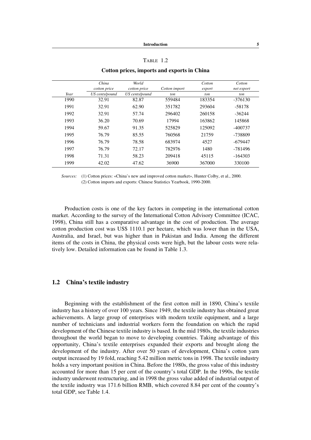# TABLE 1.2

|      | China<br>cotton price | World<br>cotton price | Cotton import | Cotton<br>export | Cotton<br>net export |
|------|-----------------------|-----------------------|---------------|------------------|----------------------|
| Year | US cents/pound        | US cents/pound        | ton           | ton              | ton                  |
| 1990 | 32.91                 | 82.87                 | 559484        | 183354           | $-376130$            |
| 1991 | 32.91                 | 62.90                 | 351782        | 293604           | $-58178$             |
| 1992 | 32.91                 | 57.74                 | 296402        | 260158           | $-36244$             |
| 1993 | 36.20                 | 70.69                 | 17994         | 163862           | 145868               |
| 1994 | 59.67                 | 91.35                 | 525829        | 125092           | $-400737$            |
| 1995 | 76.79                 | 85.55                 | 760568        | 21759            | -738809              |
| 1996 | 76.79                 | 78.58                 | 683974        | 4527             | $-679447$            |
| 1997 | 76.79                 | 72.17                 | 782976        | 1480             | -781496              |
| 1998 | 71.31                 | 58.23                 | 209418        | 45115            | $-164303$            |
| 1999 | 42.02                 | 47.62                 | 36900         | 367000           | 330100               |

#### **Cotton prices, imports and exports in China**

*Sources:* (1) Cotton prices: «China's new and improved cotton market», Hunter Colby, et al., 2000. *Sources:* (2) Cotton imports and exports: Chinese Statistics Yearbook, 1990-2000.

Production costs is one of the key factors in competing in the international cotton market. According to the survey of the International Cotton Advisory Committee (ICAC, 1998), China still has a comparative advantage in the cost of production. The average cotton production cost was US\$ 1110.1 per hectare, which was lower than in the USA, Australia, and Israel, but was higher than in Pakistan and India. Among the different items of the costs in China, the physical costs were high, but the labour costs were relatively low. Detailed information can be found in Table 1.3.

# **1.2 China's textile industry**

Beginning with the establishment of the first cotton mill in 1890, China's textile industry has a history of over 100 years. Since 1949, the textile industry has obtained great achievements. A large group of enterprises with modern textile equipment, and a large number of technicians and industrial workers form the foundation on which the rapid development of the Chinese textile industry is based. In the mid 1980s, the textile industries throughout the world began to move to developing countries. Taking advantage of this opportunity, China's textile enterprises expanded their exports and brought along the development of the industry. After over 50 years of development, China's cotton yarn output increased by 19 fold, reaching 5.42 million metric tons in 1998. The textile industry holds a very important position in China. Before the 1980s, the gross value of this industry accounted for more than 15 per cent of the country's total GDP. In the 1990s, the textile industry underwent restructuring, and in 1998 the gross value added of industrial output of the textile industry was 171.6 billion RMB, which covered 8.84 per cent of the country's total GDP, see Table 1.4.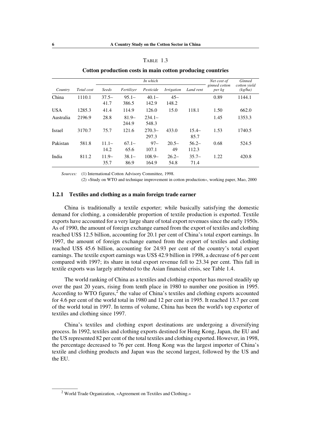|            |            |                 |                  |                   |                   | ິ                |                         |                         |
|------------|------------|-----------------|------------------|-------------------|-------------------|------------------|-------------------------|-------------------------|
|            |            |                 |                  | In which          |                   |                  | Net cost of             | <b>Ginned</b>           |
| Country    | Total cost | Seeds           | Fertilizer       | Pesticide         | <i>Irrigation</i> | Land rent        | ginned cotton<br>per kg | cotton yield<br>(kg/ha) |
| China      | 1110.1     | $37.5-$         | $95.1-$          | $40.1-$           | $45-$             |                  | 0.89                    | 1144.1                  |
|            |            | 41.7            | 386.5            | 142.9             | 148.2             |                  |                         |                         |
| <b>USA</b> | 1285.3     | 41.4            | 114.9            | 126.0             | 15.0              | 118.1            | 1.50                    | 662.0                   |
| Australia  | 2196.9     | 28.8            | $81.9-$<br>244.9 | $234.1-$<br>548.3 |                   |                  | 1.45                    | 1353.3                  |
| Israel     | 3170.7     | 75.7            | 121.6            | $270.3-$<br>297.3 | 433.0             | $15.4-$<br>85.7  | 1.53                    | 1740.5                  |
| Pakistan   | 581.8      | $11.1-$<br>14.2 | $67.1-$<br>65.6  | $97 -$<br>107.1   | $20.5-$<br>49     | $56.2-$<br>112.3 | 0.68                    | 524.5                   |
| India      | 811.2      | $11.9-$<br>35.7 | $38.1-$<br>86.9  | $108.9-$<br>164.9 | $26.2-$<br>54.8   | $35.7-$<br>71.4  | 1.22                    | 420.8                   |

### TABLE 1.3

### **Cotton production costs in main cotton producing countries**

*Sources:* (1) International Cotton Advisory Committee, 1998.

*Sources:* (2) «Study on WTO and technique improvement in cotton production», working paper, Mao, 2000

### **1.2.1 Textiles and clothing as a main foreign trade earner**

China is traditionally a textile exporter; while basically satisfying the domestic demand for clothing, a considerable proportion of textile production is exported. Textile exports have accounted for a very large share of total export revenues since the early 1950s. As of 1990, the amount of foreign exchange earned from the export of textiles and clothing reached US\$ 12.5 billion, accounting for 20.1 per cent of China's total export earnings. In 1997, the amount of foreign exchange earned from the export of textiles and clothing reached US\$ 45.6 billion, accounting for 24.93 per cent of the country's total export earnings. The textile export earnings was US\$ 42.9 billion in 1998, a decrease of 6 per cent compared with 1997; its share in total export revenue fell to 23.34 per cent. This fall in textile exports was largely attributed to the Asian financial crisis, see Table 1.4.

The world ranking of China as a textiles and clothing exporter has moved steadily up over the past 20 years, rising from tenth place in 1980 to number one position in 1995. According to WTO figures, $2^{\degree}$  the value of China's textiles and clothing exports accounted for 4.6 per cent of the world total in 1980 and 12 per cent in 1995. It reached 13.7 per cent of the world total in 1997. In terms of volume, China has been the world's top exporter of textiles and clothing since 1997.

China's textiles and clothing export destinations are undergoing a diversifying process. In 1992, textiles and clothing exports destined for Hong Kong, Japan, the EU and the US represented 82 per cent of the total textiles and clothing exported. However, in 1998, the percentage decreased to 76 per cent. Hong Kong was the largest importer of China's textile and clothing products and Japan was the second largest, followed by the US and the EU.

<sup>&</sup>lt;sup>2</sup> World Trade Organization, «Agreement on Textiles and Clothing.»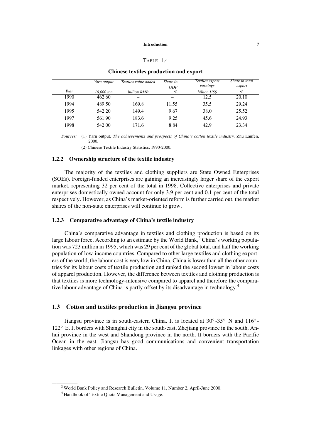# TABLE 1.4

|      | Yarn output | Textiles value added | Share in<br><b>GDP</b> | Textiles export<br>earnings | Share in total<br>export |
|------|-------------|----------------------|------------------------|-----------------------------|--------------------------|
| Year | 10,000 ton  | billion RMB          | $\%$                   | billion US\$                | $\%$                     |
| 1990 | 462.60      |                      |                        | 12.5                        | 20.10                    |
| 1994 | 489.50      | 169.8                | 11.55                  | 35.5                        | 29.24                    |
| 1995 | 542.20      | 149.4                | 9.67                   | 38.0                        | 25.52                    |
| 1997 | 561.90      | 183.6                | 9.25                   | 45.6                        | 24.93                    |
| 1998 | 542.00      | 171.6                | 8.84                   | 42.9                        | 23.34                    |

#### **Chinese textiles production and export**

*Sources:* (1) Yarn output*: The achievements and prospects of China's cotton textile industry,* Zhu Lanfen, 2000.

*Sources:* (2) Chinese Textile Industry Statistics, 1990-2000.

### **1.2.2 Ownership structure of the textile industry**

The majority of the textiles and clothing suppliers are State Owned Enterprises (SOEs). Foreign-funded enterprises are gaining an increasingly larger share of the export market, representing 32 per cent of the total in 1998. Collective enterprises and private enterprises domestically owned account for only 3.9 per cent and 0.1 per cent of the total respectively. However, as China's market-oriented reform is further carried out, the market shares of the non-state enterprises will continue to grow.

# **1.2.3 Comparative advantage of China's textile industry**

China's comparative advantage in textiles and clothing production is based on its large labour force. According to an estimate by the World Bank,  $3$  China's working population was 723 million in 1995, which was 29 per cent of the global total, and half the working population of low-income countries. Compared to other large textiles and clothing exporters of the world, the labour cost is very low in China. China is lower than all the other countries for its labour costs of textile production and ranked the second lowest in labour costs of apparel production. However, the difference between textiles and clothing production is that textiles is more technology-intensive compared to apparel and therefore the comparative labour advantage of China is partly offset by its disadvantage in technology.<sup>4</sup>

# **1.3 Cotton and textiles production in Jiangsu province**

Jiangsu province is in south-eastern China. It is located at 30° -35° N and 116° - 122° E. It borders with Shanghai city in the south-east, Zhejiang province in the south, Anhui province in the west and Shandong province in the north. It borders with the Pacific Ocean in the east. Jiangsu has good communications and convenient transportation linkages with other regions of China.

 $3$  World Bank Policy and Research Bulletin, Volume 11, Number 2, April-June 2000.

<sup>4</sup> Handbook of Textile Quota Management and Usage.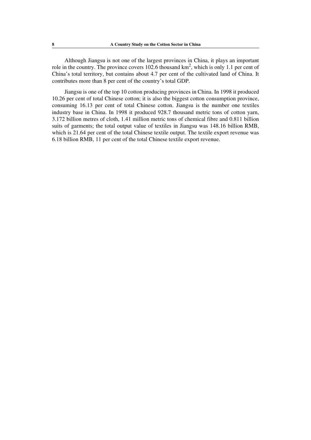Although Jiangsu is not one of the largest provinces in China, it plays an important role in the country. The province covers 102.6 thousand  $km^2$ , which is only 1.1 per cent of China's total territory, but contains about 4.7 per cent of the cultivated land of China. It contributes more than 8 per cent of the country's total GDP.

Jiangsu is one of the top 10 cotton producing provinces in China. In 1998 it produced 10.26 per cent of total Chinese cotton; it is also the biggest cotton consumption province, consuming 16.13 per cent of total Chinese cotton. Jiangsu is the number one textiles industry base in China. In 1998 it produced 928.7 thousand metric tons of cotton yarn, 3.172 billion metres of cloth, 1.41 million metric tons of chemical fibre and 0.811 billion suits of garments; the total output value of textiles in Jiangsu was 148.16 billion RMB, which is 21.64 per cent of the total Chinese textile output. The textile export revenue was 6.18 billion RMB, 11 per cent of the total Chinese textile export revenue.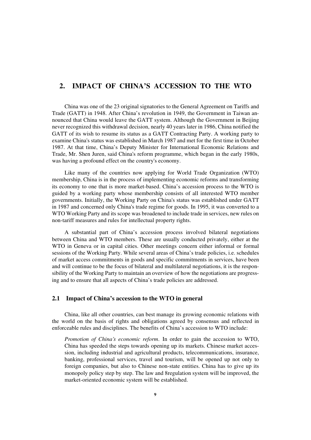# **2. IMPACT OF CHINA'S ACCESSION TO THE WTO**

China was one of the 23 original signatories to the General Agreement on Tariffs and Trade (GATT) in 1948. After China's revolution in 1949, the Government in Taiwan announced that China would leave the GATT system. Although the Government in Beijing never recognized this withdrawal decision, nearly 40 years later in 1986, China notified the GATT of its wish to resume its status as a GATT Contracting Party. A working party to examine China's status was established in March 1987 and met for the first time in October 1987. At that time, China's Deputy Minister for International Economic Relations and Trade, Mr. Shen Juren, said China's reform programme, which began in the early 1980s, was having a profound effect on the country's economy.

Like many of the countries now applying for World Trade Organization (WTO) membership, China is in the process of implementing economic reforms and transforming its economy to one that is more market-based. China's accession process to the WTO is guided by a working party whose membership consists of all interested WTO member governments. Initially, the Working Party on China's status was established under GATT in 1987 and concerned only China's trade regime for goods. In 1995, it was converted to a WTO Working Party and its scope was broadened to include trade in services, new rules on non-tariff measures and rules for intellectual property rights.

A substantial part of China's accession process involved bilateral negotiations between China and WTO members. These are usually conducted privately, either at the WTO in Geneva or in capital cities. Other meetings concern either informal or formal sessions of the Working Party. While several areas of China's trade policies, i.e. schedules of market access commitments in goods and specific commitments in services, have been and will continue to be the focus of bilateral and multilateral negotiations, it is the responsibility of the Working Party to maintain an overview of how the negotiations are progressing and to ensure that all aspects of China's trade policies are addressed.

### **2.1 Impact of China's accession to the WTO in general**

China, like all other countries, can best manage its growing economic relations with the world on the basis of rights and obligations agreed by consensus and reflected in enforceable rules and disciplines. The benefits of China's accession to WTO include:

*Promotion of China's economic reform*. In order to gain the accession to WTO, China has speeded the steps towards opening up its markets. Chinese market accession, including industrial and agricultural products, telecommunications, insurance, banking, professional services, travel and tourism, will be opened up not only to foreign companies, but also to Chinese non-state entities. China has to give up its monopoly policy step by step. The law and 8regulation system will be improved, the market-oriented economic system will be established.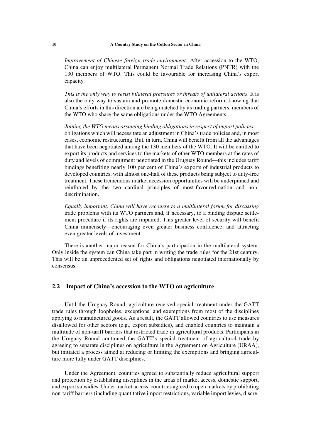*Improvement of Chinese foreign trade environment*. After accession to the WTO, China can enjoy multilateral Permanent Normal Trade Relations (PNTR) with the 130 members of WTO. This could be favourable for increasing China's export capacity.

*This is the only way to resist bilateral pressures or threats of unilateral actions*. It is also the only way to sustain and promote domestic economic reform, knowing that China's efforts in this direction are being matched by its trading partners, members of the WTO who share the same obligations under the WTO Agreements.

*Joining the WTO means assuming binding obligations in respect of import policies* obligations which will necessitate an adjustment in China's trade policies and, in most cases, economic restructuring. But, in turn, China will benefit from all the advantages that have been negotiated among the 130 members of the WTO. It will be entitled to export its products and services to the markets of other WTO members at the rates of duty and levels of commitment negotiated in the Uruguay Round—this includes tariff bindings benefiting nearly 100 per cent of China's exports of industrial products to developed countries, with almost one-half of these products being subject to duty-free treatment. These tremendous market accession opportunities will be underpinned and reinforced by the two cardinal principles of most-favoured-nation and nondiscrimination.

*Equally important, China will have recourse to a multilateral forum for discussing* trade problems with its WTO partners and, if necessary, to a binding dispute settlement procedure if its rights are impaired. This greater level of security will benefit China immensely—encouraging even greater business confidence, and attracting even greater levels of investment.

There is another major reason for China's participation in the multilateral system. Only inside the system can China take part in writing the trade rules for the 21st century. This will be an unprecedented set of rights and obligations negotiated internationally by consensus.

#### **2.2 Impact of China's accession to the WTO on agriculture**

Until the Uruguay Round, agriculture received special treatment under the GATT trade rules through loopholes, exceptions, and exemptions from most of the disciplines applying to manufactured goods. As a result, the GATT allowed countries to use measures disallowed for other sectors (e.g., export subsidies), and enabled countries to maintain a multitude of non-tariff barriers that restricted trade in agricultural products. Participants in the Uruguay Round continued the GATT's special treatment of agricultural trade by agreeing to separate disciplines on agriculture in the Agreement on Agriculture (URAA), but initiated a process aimed at reducing or limiting the exemptions and bringing agriculture more fully under GATT disciplines.

Under the Agreement, countries agreed to substantially reduce agricultural support and protection by establishing disciplines in the areas of market access, domestic support, and export subsidies. Under market access, countries agreed to open markets by prohibiting non-tariff barriers (including quantitative import restrictions, variable import levies, discre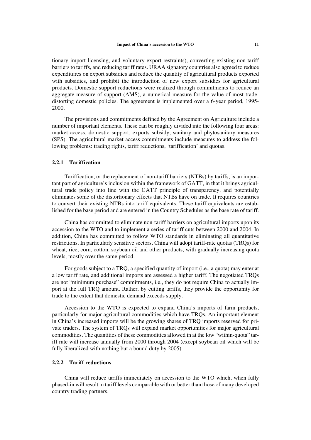tionary import licensing, and voluntary export restraints), converting existing non-tariff barriers to tariffs, and reducing tariff rates. URAA signatory countries also agreed to reduce expenditures on export subsidies and reduce the quantity of agricultural products exported with subsidies, and prohibit the introduction of new export subsidies for agricultural products. Domestic support reductions were realized through commitments to reduce an aggregate measure of support (AMS), a numerical measure for the value of most tradedistorting domestic policies. The agreement is implemented over a 6-year period, 1995- 2000.

The provisions and commitments defined by the Agreement on Agriculture include a number of important elements. These can be roughly divided into the following four areas: market access, domestic support, exports subsidy, sanitary and phytosanitary measures (SPS). The agricultural market access commitments include measures to address the following problems: trading rights, tariff reductions, 'tariffication' and quotas.

#### **2.2.1 Tariffication**

Tariffication, or the replacement of non-tariff barriers (NTBs) by tariffs, is an important part of agriculture's inclusion within the framework of GATT, in that it brings agricultural trade policy into line with the GATT principle of transparency, and potentially eliminates some of the distortionary effects that NTBs have on trade. It requires countries to convert their existing NTBs into tariff equivalents. These tariff equivalents are established for the base period and are entered in the Country Schedules as the base rate of tariff.

China has committed to eliminate non-tariff barriers on agricultural imports upon its accession to the WTO and to implement a series of tariff cuts between 2000 and 2004. In addition, China has committed to follow WTO standards in eliminating all quantitative restrictions. In particularly sensitive sectors, China will adopt tariff-rate quotas (TRQs) for wheat, rice, corn, cotton, soybean oil and other products, with gradually increasing quota levels, mostly over the same period.

For goods subject to a TRQ, a specified quantity of import (i.e., a quota) may enter at a low tariff rate, and additional imports are assessed a higher tariff. The negotiated TRQs are not "minimum purchase" commitments, i.e., they do not require China to actually import at the full TRQ amount. Rather, by cutting tariffs, they provide the opportunity for trade to the extent that domestic demand exceeds supply.

Accession to the WTO is expected to expand China's imports of farm products, particularly for major agricultural commodities which have TRQs. An important element in China's increased imports will be the growing shares of TRQ imports reserved for private traders. The system of TRQs will expand market opportunities for major agricultural commodities. The quantities of these commodities allowed in at the low "within-quota" tariff rate will increase annually from 2000 through 2004 (except soybean oil which will be fully liberalized with nothing but a bound duty by 2005).

# **2.2.2 Tariff reductions**

China will reduce tariffs immediately on accession to the WTO which, when fully phased-in will result in tariff levels comparable with or better than those of many developed country trading partners.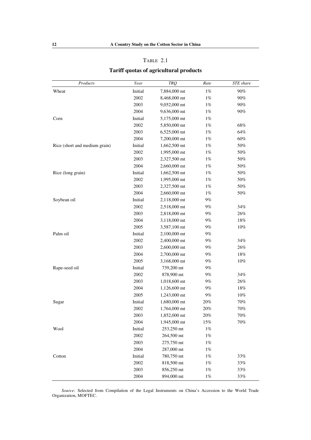| \RI. |  |  |
|------|--|--|
|------|--|--|

# **Tariff quotas of agricultural products**

| Products                      | Year    | TRQ          | Rate   | <b>STE</b> share |
|-------------------------------|---------|--------------|--------|------------------|
| Wheat                         | Initial | 7,884,000 mt | $1\%$  | 90%              |
|                               | 2002    | 8,468,000 mt | $1\%$  | 90%              |
|                               | 2003    | 9,052,000 mt | $1\%$  | 90%              |
|                               | 2004    | 9,636,000 mt | $1\%$  | 90%              |
| Corn                          | Initial | 5,175,000 mt | $1\%$  |                  |
|                               | 2002    | 5,850,000 mt | $1\%$  | 68%              |
|                               | 2003    | 6,525,000 mt | $1\%$  | 64%              |
|                               | 2004    | 7,200,000 mt | $1\%$  | 60%              |
| Rice (short and medium grain) | Initial | 1,662,500 mt | $1\%$  | 50%              |
|                               | 2002    | 1,995,000 mt | $1\%$  | 50%              |
|                               | 2003    | 2,327,500 mt | $1\%$  | 50%              |
|                               | 2004    | 2,660,000 mt | $1\%$  | 50%              |
| Rice (long grain)             | Initial | 1,662,500 mt | $1\%$  | 50%              |
|                               | 2002    | 1,995,000 mt | $1\%$  | 50%              |
|                               | 2003    | 2,327,500 mt | $1\%$  | $50\%$           |
|                               | 2004    | 2,660,000 mt | $1\%$  | 50%              |
| Soybean oil                   | Initial | 2,118,000 mt | $9\%$  |                  |
|                               | 2002    | 2,518,000 mt | $9\%$  | 34%              |
|                               | 2003    | 2,818,000 mt | $9\%$  | 26%              |
|                               | 2004    | 3,118,000 mt | $9\%$  | 18%              |
|                               | 2005    | 3,587,100 mt | $9\%$  | 10%              |
| Palm oil                      | Initial | 2,100,000 mt | $9\%$  |                  |
|                               | 2002    | 2,400,000 mt | $9\%$  | 34%              |
|                               | 2003    | 2,600,000 mt | $9\%$  | 26%              |
|                               | 2004    | 2,700,000 mt | $9\%$  | 18%              |
|                               | 2005    | 3,168,000 mt | $9\%$  | 10%              |
| Rape-seed oil                 | Initial | 739,200 mt   | $9\%$  |                  |
|                               | 2002    | 878,900 mt   | $9\%$  | 34%              |
|                               | 2003    | 1,018,600 mt | $9\%$  | 26%              |
|                               | 2004    | 1,126,600 mt | $9\%$  | 18%              |
|                               | 2005    | 1,243,000 mt | $9\%$  | 10%              |
| Sugar                         | Initial | 1,680,000 mt | 20%    | 70%              |
|                               | 2002    | 1,764,000 mt | $20\%$ | 70%              |
|                               | 2003    | 1,852,000 mt | 20%    | 70%              |
|                               | 2004    | 1,945,000 mt | $15\%$ | $70\%$           |
| Wool                          | Initial | 253,250 mt   | $1\%$  |                  |
|                               | 2002    | 264,500 mt   | $1\%$  |                  |
|                               | 2003    | 275,750 mt   | $1\%$  |                  |
|                               | 2004    | 287,000 mt   | $1\%$  |                  |
| Cotton                        | Initial | 780,750 mt   | $1\%$  | 33%              |
|                               | 2002    | 818,500 mt   | $1\%$  | 33%              |
|                               | 2003    | 856,250 mt   | $1\%$  | $33\%$           |
|                               | 2004    | 894,000 mt   | $1\%$  | 33%              |

*Source:* Selected from Compilation of the Legal Instruments on China's Accession to the World Trade Organization, MOFTEC.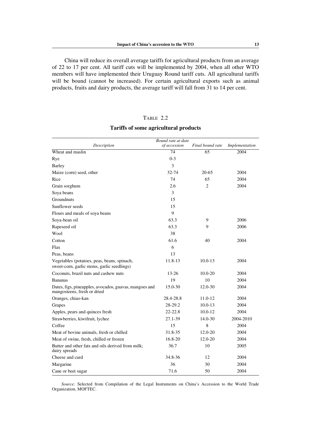China will reduce its overall average tariffs for agricultural products from an average of 22 to 17 per cent. All tariff cuts will be implemented by 2004, when all other WTO members will have implemented their Uruguay Round tariff cuts. All agricultural tariffs will be bound (cannot be increased). For certain agricultural exports such as animal products, fruits and dairy products, the average tariff will fall from 31 to 14 per cent.

# TABLE 2.2

| Bound rate at date                                                                    |              |                  |                |
|---------------------------------------------------------------------------------------|--------------|------------------|----------------|
| Description                                                                           | of accession | Final bound rate | Implementation |
| Wheat and maslin                                                                      | 74           | 65               | 2004           |
| Rye                                                                                   | $0 - 3$      |                  |                |
| <b>Barley</b>                                                                         | 3            |                  |                |
| Maize (corn) seed, other                                                              | 32-74        | $20 - 65$        | 2004           |
| Rice                                                                                  | 74           | 65               | 2004           |
| Grain sorghum                                                                         | 2.6          | 2                | 2004           |
| Soya beans                                                                            | 3            |                  |                |
| Groundnuts                                                                            | 15           |                  |                |
| Sunflower seeds                                                                       | 15           |                  |                |
| Flours and meals of soya beans                                                        | 9            |                  |                |
| Soya-bean oil                                                                         | 63.3         | 9                | 2006           |
| Rapeseed oil                                                                          | 63.3         | 9                | 2006           |
| Wool                                                                                  | 38           |                  |                |
| Cotton                                                                                | 61.6         | 40               | 2004           |
| Flax                                                                                  | 6            |                  |                |
| Peas, beans                                                                           | 13           |                  |                |
| Vegetables (potatoes, peas, beans, spinach,                                           | 11.8-13      | $10.0 - 13$      | 2004           |
| sweet-corn, garlic stems, garlic seedlings)                                           |              |                  |                |
| Coconuts, brazil nuts and cashew nuts                                                 | $13 - 26$    | $10.0 - 20$      | 2004           |
| <b>Bananas</b>                                                                        | 19           | 10               | 2004           |
| Dates, figs, pineapples, avocados, guavas, mangoes and<br>mangosteens, fresh or dried | 15.0-30      | 12.0-30          | 2004           |
| Oranges, chiao-kan                                                                    | 28.4-28.8    | 11.0-12          | 2004           |
| Grapes                                                                                | 28-29.2      | $10.0 - 13$      | 2004           |
| Apples, pears and quinces fresh                                                       | $22 - 22.8$  | $10.0 - 12$      | 2004           |
| Strawberries, kiwifruit, lychee                                                       | 27.1-39      | 14.0-30          | 2004-2010      |
| Coffee                                                                                | 15           | 8                | 2004           |
| Meat of bovine animals, fresh or chilled                                              | 31.8-35      | $12.0 - 20$      | 2004           |
| Meat of swine, fresh, chilled or frozen                                               | 16.8-20      | 12.0-20          | 2004           |
| Butter and other fats and oils derived from milk;<br>dairy spreads                    | 36.7         | 10               | 2005           |
| Cheese and curd                                                                       | 34.8-36      | 12               | 2004           |
| Margarine                                                                             | 36           | 30               | 2004           |
| Cane or beet sugar                                                                    | 71.6         | 50               | 2004           |

# **Tariffs of some agricultural products**

*Source:* Selected from Compilation of the Legal Instruments on China's Accession to the World Trade Organization, MOFTEC.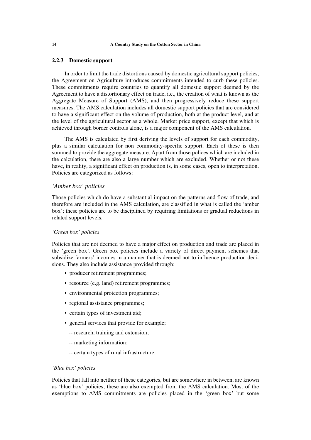# **2.2.3 Domestic support**

In order to limit the trade distortions caused by domestic agricultural support policies, the Agreement on Agriculture introduces commitments intended to curb these policies. These commitments require countries to quantify all domestic support deemed by the Agreement to have a distortionary effect on trade, i.e., the creation of what is known as the Aggregate Measure of Support (AMS), and then progressively reduce these support measures. The AMS calculation includes all domestic support policies that are considered to have a significant effect on the volume of production, both at the product level, and at the level of the agricultural sector as a whole. Market price support, except that which is achieved through border controls alone, is a major component of the AMS calculation.

The AMS is calculated by first deriving the levels of support for each commodity, plus a similar calculation for non commodity-specific support. Each of these is then summed to provide the aggregate measure. Apart from those polices which are included in the calculation, there are also a large number which are excluded. Whether or not these have, in reality, a significant effect on production is, in some cases, open to interpretation. Policies are categorized as follows:

# *'Amber box' policies*

Those policies which do have a substantial impact on the patterns and flow of trade, and therefore are included in the AMS calculation, are classified in what is called the 'amber box'; these policies are to be disciplined by requiring limitations or gradual reductions in related support levels.

# *'Green box' policies*

Policies that are not deemed to have a major effect on production and trade are placed in the 'green box'. Green box policies include a variety of direct payment schemes that subsidize farmers' incomes in a manner that is deemed not to influence production decisions. They also include assistance provided through:

- producer retirement programmes;
- resource (e.g. land) retirement programmes;
- environmental protection programmes;
- regional assistance programmes;
- certain types of investment aid:
- general services that provide for example;
	- -- research, training and extension;
	- -- marketing information;
	- -- certain types of rural infrastructure.

### *'Blue box' policies*

Policies that fall into neither of these categories, but are somewhere in between, are known as 'blue box' policies; these are also exempted from the AMS calculation. Most of the exemptions to AMS commitments are policies placed in the 'green box' but some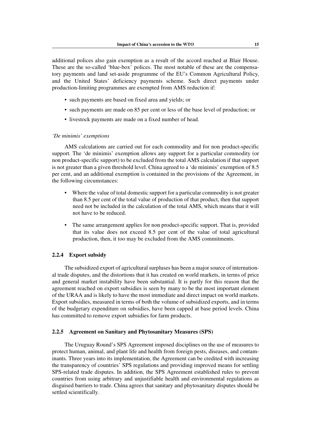additional polices also gain exemption as a result of the accord reached at Blair House. These are the so-called 'blue-box' polices. The most notable of these are the compensatory payments and land set-aside programme of the EU's Common Agricultural Policy, and the United States' deficiency payments scheme. Such direct payments under production-limiting programmes are exempted from AMS reduction if:

- such payments are based on fixed area and yields; or
- such payments are made on 85 per cent or less of the base level of production; or
- livestock payments are made on a fixed number of head.

#### *'De minimis' exemptions*

AMS calculations are carried out for each commodity and for non product-specific support. The 'de minimis' exemption allows any support for a particular commodity (or non product-specific support) to be excluded from the total AMS calculation if that support is not greater than a given threshold level. China agreed to a 'de minimis' exemption of 8.5 per cent, and an additional exemption is contained in the provisions of the Agreement, in the following circumstances:

- Where the value of total domestic support for a particular commodity is not greater than 8.5 per cent of the total value of production of that product, then that support need not be included in the calculation of the total AMS, which means that it will not have to be reduced.
- The same arrangement applies for non product-specific support. That is, provided that its value does not exceed 8.5 per cent of the value of total agricultural production, then, it too may be excluded from the AMS commitments.

### **2.2.4 Export subsidy**

The subsidized export of agricultural surpluses has been a major source of international trade disputes, and the distortions that it has created on world markets, in terms of price and general market instability have been substantial. It is partly for this reason that the agreement reached on export subsidies is seen by many to be the most important element of the URAA and is likely to have the most immediate and direct impact on world markets. Export subsidies, measured in terms of both the volume of subsidized exports, and in terms of the budgetary expenditure on subsidies, have been capped at base period levels. China has committed to remove export subsidies for farm products.

#### **2.2.5 Agreement on Sanitary and Phytosanitary Measures (SPS)**

The Uruguay Round's SPS Agreement imposed disciplines on the use of measures to protect human, animal, and plant life and health from foreign pests, diseases, and contaminants. Three years into its implementation, the Agreement can be credited with increasing the transparency of countries' SPS regulations and providing improved means for settling SPS-related trade disputes. In addition, the SPS Agreement established rules to prevent countries from using arbitrary and unjustifiable health and environmental regulations as disguised barriers to trade. China agrees that sanitary and phytosanitary disputes should be settled scientifically.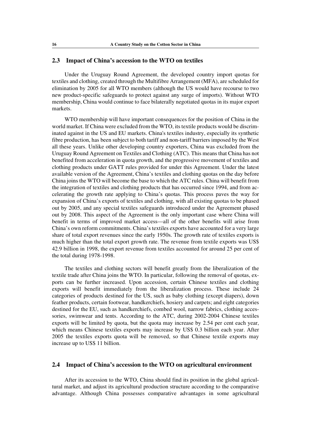# **2.3 Impact of China's accession to the WTO on textiles**

Under the Uruguay Round Agreement, the developed country import quotas for textiles and clothing, created through the Multifibre Arrangement (MFA), are scheduled for elimination by 2005 for all WTO members (although the US would have recourse to two new product-specific safeguards to protect against any surge of imports). Without WTO membership, China would continue to face bilaterally negotiated quotas in its major export markets.

WTO membership will have important consequences for the position of China in the world market. If China were excluded from the WTO, its textile products would be discriminated against in the US and EU markets. China's textiles industry, especially its synthetic fibre production, has been subject to both tariff and non-tariff barriers imposed by the West all these years. Unlike other developing country exporters, China was excluded from the Uruguay Round Agreement on Textiles and Clothing (ATC). This means that China has not benefited from acceleration in quota growth, and the progressive movement of textiles and clothing products under GATT rules provided for under this Agreement. Under the latest available version of the Agreement, China's textiles and clothing quotas on the day before China joins the WTO will become the base to which the ATC rules. China will benefit from the integration of textiles and clothing products that has occurred since 1994, and from accelerating the growth rate applying to China's quotas. This process paves the way for expansion of China's exports of textiles and clothing, with all existing quotas to be phased out by 2005, and any special textiles safeguards introduced under the Agreement phased out by 2008. This aspect of the Agreement is the only important case where China will benefit in terms of improved market access—all of the other benefits will arise from China's own reform commitments. China's textiles exports have accounted for a very large share of total export revenues since the early 1950s. The growth rate of textiles exports is much higher than the total export growth rate. The revenue from textile exports was US\$ 42.9 billion in 1998, the export revenue from textiles accounted for around 25 per cent of the total during 1978-1998.

The textiles and clothing sectors will benefit greatly from the liberalization of the textile trade after China joins the WTO. In particular, following the removal of quotas, exports can be further increased. Upon accession, certain Chinese textiles and clothing exports will benefit immediately from the liberalization process. These include 24 categories of products destined for the US, such as baby clothing (except diapers), down feather products, certain footwear, handkerchiefs, hosiery and carpets; and eight categories destined for the EU, such as handkerchiefs, combed wool, narrow fabrics, clothing accessories, swimwear and tents. According to the ATC, during 2002-2004 Chinese textiles exports will be limited by quota, but the quota may increase by 2.54 per cent each year, which means Chinese textiles exports may increase by US\$ 0.3 billion each year. After 2005 the textiles exports quota will be removed, so that Chinese textile exports may increase up to US\$ 11 billion.

# **2.4 Impact of China's accession to the WTO on agricultural environment**

After its accession to the WTO, China should find its position in the global agricultural market, and adjust its agricultural production structure according to the comparative advantage. Although China possesses comparative advantages in some agricultural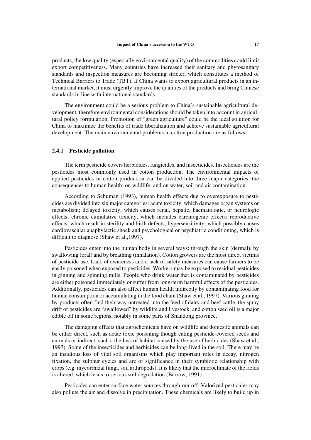products, the low quality (especially environmental quality) of the commodities could limit export competitiveness. Many countries have increased their sanitary and phytosanitary standards and inspection measures are becoming stricter, which constitutes a method of Technical Barriers to Trade (TBT). If China wants to export agricultural products in an international market, it must urgently improve the qualities of the products and bring Chinese standards in line with international standards.

The environment could be a serious problem to China's sustainable agricultural development, therefore environmental considerations should be taken into account in agricultural policy formulation. Promotion of "green agriculture" could be the ideal solution for China to maximize the benefits of trade liberalization and achieve sustainable agricultural development. The main environmental problems in cotton production are as follows.

#### **2.4.1 Pesticide pollution**

The term pesticide covers herbicides, fungicides, and insecticides. Insecticides are the pesticides most commonly used in cotton production. The environmental impacts of applied pesticides in cotton production can be divided into three major categories, the consequences to human health; on wildlife; and on water, soil and air contamination.

According to Schuman (1993), human health effects due to overexposure to pesticides are divided into six major categories: acute toxicity, which damages organ systems or metabolism; delayed toxicity, which causes renal, hepatic, haematologic, or neurologic effects; chronic cumulative toxicity, which includes carcinogenic effects; reproductive effects, which result in sterility and birth defects; hypersensitivity, which possibly causes cardiovascular anaphylactic shock and psychological or psychiatric conditioning, which is difficult to diagnose (Shaw et al.,1997).

Pesticides enter into the human body in several ways: through the skin (dermal), by swallowing (oral) and by breathing (inhalation). Cotton growers are the most direct victims of pesticide use. Lack of awareness and a lack of safety measures can cause farmers to be easily poisoned when exposed to pesticides. Workers may be exposed to residual pesticides in ginning and spinning mills. People who drink water that is contaminated by pesticides are either poisoned immediately or suffer from long-term harmful effects of the pesticides. Additionally, pesticides can also affect human health indirectly by contaminating food for human consumption or accumulating in the food chain (Shaw et al., 1997). Various ginning by-products often find their way untreated into the feed of dairy and beef cattle, the spray drift of pesticides are "swallowed" by wildlife and livestock, and cotton seed oil is a major edible oil in some regions, notably in some parts of Shandong province.

The damaging effects that agrochemicals have on wildlife and domestic animals can be either direct, such as acute toxic poisoning though eating pesticide-covered seeds and animals or indirect, such a the loss of habitat caused by the use of herbicides (Shaw et al., 1997). Some of the insecticides and herbicides can be long-lived in the soil. There may be an insidious loss of vital soil organisms which play important roles in decay, nitrogen fixation, the sulphur cycles and are of significance in their symbiotic relationship with crops (e.g. mycorrhizal fungi, soil arthropods). It is likely that the microclimate of the fields is altered, which leads to serious soil degradation (Barrow, 1991).

Pesticides can enter surface water sources through run-off. Valorized pesticides may also pollute the air and dissolve in precipitation. These chemicals are likely to build up in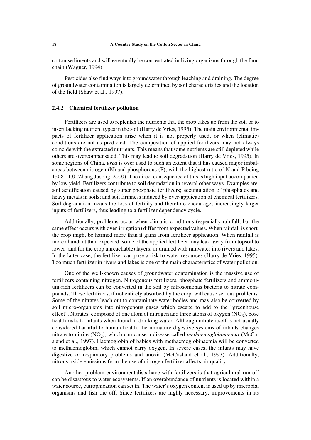cotton sediments and will eventually be concentrated in living organisms through the food chain (Wagner, 1994).

Pesticides also find ways into groundwater through leaching and draining. The degree of groundwater contamination is largely determined by soil characteristics and the location of the field (Shaw et al., 1997).

#### **2.4.2 Chemical fertilizer pollution**

Fertilizers are used to replenish the nutrients that the crop takes up from the soil or to insert lacking nutrient types in the soil (Harry de Vries, 1995). The main environmental impacts of fertilizer application arise when it is not properly used, or when (climatic) conditions are not as predicted. The composition of applied fertilizers may not always coincide with the extracted nutrients. This means that some nutrients are still depleted while others are overcompensated. This may lead to soil degradation (Harry de Vries, 1995). In some regions of China, *urea* is over used to such an extent that it has caused major imbalances between nitrogen (N) and phosphorous (P), with the highest ratio of N and P being 1:0.8 - 1.0 (Zhang Jusong, 2000). The direct consequence of this is high input accompanied by low yield. Fertilizers contribute to soil degradation in several other ways. Examples are: soil acidification caused by super phosphate fertilizers; accumulation of phosphates and heavy metals in soils; and soil firmness induced by over-application of chemical fertilizers. Soil degradation means the loss of fertility and therefore encourages increasingly larger inputs of fertilizers, thus leading to a fertilizer dependency cycle.

Additionally, problems occur when climatic conditions (especially rainfall, but the same effect occurs with over-irrigation) differ from expected values. When rainfall is short, the crop might be harmed more than it gains from fertilizer application. When rainfall is more abundant than expected, some of the applied fertilizer may leak away from topsoil to lower (and for the crop unreachable) layers, or drained with rainwater into rivers and lakes. In the latter case, the fertilizer can pose a risk to water resources (Harry de Vries, 1995). Too much fertilizer in rivers and lakes is one of the main characteristics of water pollution.

One of the well-known causes of groundwater contamination is the massive use of fertilizers containing nitrogen. Nitrogenous fertilizers, phosphate fertilizers and ammonium-rich fertilizers can be converted in the soil by nitrosomonas bacteria to nitrate compounds. These fertilizers, if not entirely absorbed by the crop, will cause serious problems. Some of the nitrates leach out to contaminate water bodies and may also be converted by soil micro-organisms into nitrogenous gases which escape to add to the "greenhouse effect". Nitrates, composed of one atom of nitrogen and three atoms of oxygen  $(NO_3)$ , pose health risks to infants when found in drinking water. Although nitrate itself is not usually considered harmful to human health, the immature digestive systems of infants changes nitrate to nitrite (NO<sub>2</sub>), which can cause a disease called *methaemoglobinaemia* (McCasland et al., 1997). Haemoglobin of babies with methaemoglobinaemia will be converted to methaemoglobin, which cannot carry oxygen. In severe cases, the infants may have digestive or respiratory problems and anoxia (McCasland et al., 1997). Additionally, nitrous oxide emissions from the use of nitrogen fertilizer affects air quality.

Another problem environmentalists have with fertilizers is that agricultural run-off can be disastrous to water ecosystems. If an overabundance of nutrients is located within a water source, eutrophication can set in. The water's oxygen content is used up by microbial organisms and fish die off. Since fertilizers are highly necessary, improvements in its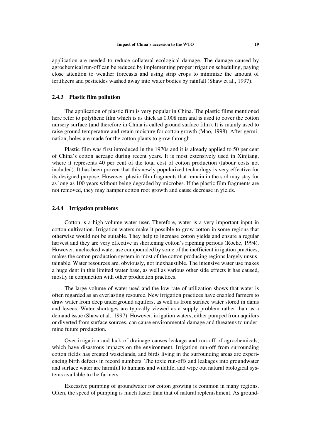application are needed to reduce collateral ecological damage. The damage caused by agrochemical run-off can be reduced by implementing proper irrigation scheduling, paying close attention to weather forecasts and using strip crops to minimize the amount of fertilizers and pesticides washed away into water bodies by rainfall (Shaw et al., 1997).

#### **2.4.3 Plastic film pollution**

The application of plastic film is very popular in China. The plastic films mentioned here refer to polythene film which is as thick as 0.008 mm and is used to cover the cotton nursery surface (and therefore in China is called ground surface film). It is mainly used to raise ground temperature and retain moisture for cotton growth (Mao, 1998). After germination, holes are made for the cotton plants to grow through.

Plastic film was first introduced in the 1970s and it is already applied to 50 per cent of China's cotton acreage during recent years. It is most extensively used in Xinjiang, where it represents 40 per cent of the total cost of cotton production (labour costs not included). It has been proven that this newly popularized technology is very effective for its designed purpose. However, plastic film fragments that remain in the soil may stay for as long as 100 years without being degraded by microbes. If the plastic film fragments are not removed, they may hamper cotton root growth and cause decrease in yields.

# **2.4.4 Irrigation problems**

Cotton is a high-volume water user. Therefore, water is a very important input in cotton cultivation. Irrigation waters make it possible to grow cotton in some regions that otherwise would not be suitable. They help to increase cotton yields and ensure a regular harvest and they are very effective in shortening cotton's ripening periods (Roche, 1994). However, unchecked water use compounded by some of the inefficient irrigation practices, makes the cotton production system in most of the cotton producing regions largely unsustainable. Water resources are, obviously, not inexhaustible. The intensive water use makes a huge dent in this limited water base, as well as various other side effects it has caused, mostly in conjunction with other production practices.

The large volume of water used and the low rate of utilization shows that water is often regarded as an everlasting resource. New irrigation practices have enabled farmers to draw water from deep underground aquifers, as well as from surface water stored in dams and levees. Water shortages are typically viewed as a supply problem rather than as a demand issue (Shaw et al., 1997). However, irrigation waters, either pumped from aquifers or diverted from surface sources, can cause environmental damage and threatens to undermine future production.

Over-irrigation and lack of drainage causes leakage and run-off of agrochemicals, which have disastrous impacts on the environment. Irrigation run-off from surrounding cotton fields has created wastelands, and birds living in the surrounding areas are experiencing birth defects in record numbers. The toxic run-offs and leakages into groundwater and surface water are harmful to humans and wildlife, and wipe out natural biological systems available to the farmers.

Excessive pumping of groundwater for cotton growing is common in many regions. Often, the speed of pumping is much faster than that of natural replenishment. As ground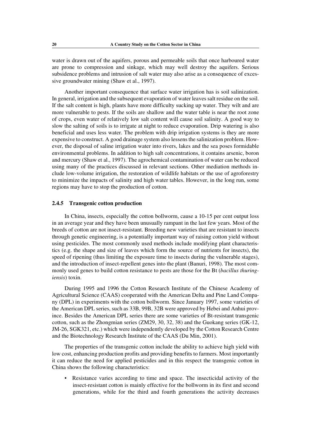water is drawn out of the aquifers, porous and permeable soils that once harboured water are prone to compression and sinkage, which may well destroy the aquifers. Serious subsidence problems and intrusion of salt water may also arise as a consequence of excessive groundwater mining (Shaw et al., 1997).

Another important consequence that surface water irrigation has is soil salinization. In general, irrigation and the subsequent evaporation of water leaves salt residue on the soil. If the salt content is high, plants have more difficulty sucking up water. They wilt and are more vulnerable to pests. If the soils are shallow and the water table is near the root zone of crops, even water of relatively low salt content will cause soil salinity. A good way to slow the salting of soils is to irrigate at night to reduce evaporation. Drip watering is also beneficial and uses less water. The problem with drip irrigation systems is they are more expensive to construct. A good drainage system also lessens the salinization problem. However, the disposal of saline irrigation water into rivers, lakes and the sea poses formidable environmental problems. In addition to high salt concentrations, it contains arsenic, boron and mercury (Shaw et al., 1997). The agrochemical contamination of water can be reduced using many of the practices discussed in relevant sections. Other mediation methods include low-volume irrigation, the restoration of wildlife habitats or the use of agroforestry to minimize the impacts of salinity and high water tables. However, in the long run, some regions may have to stop the production of cotton.

### **2.4.5 Transgenic cotton production**

In China, insects, especially the cotton bollworm, cause a 10-15 per cent output loss in an average year and they have been unusually rampant in the last few years. Most of the breeds of cotton are not insect-resistant. Breeding new varieties that are resistant to insects through genetic engineering, is a potentially important way of raising cotton yield without using pesticides. The most commonly used methods include modifying plant characteristics (e.g. the shape and size of leaves which form the source of nutrients for insects), the speed of ripening (thus limiting the exposure time to insects during the vulnerable stages), and the introduction of insect-repellent genes into the plant (Banuri, 1998). The most commonly used genes to build cotton resistance to pests are those for the Bt (*bacillus thuringiensis*) toxin.

During 1995 and 1996 the Cotton Research Institute of the Chinese Academy of Agricultural Science (CAAS) cooperated with the American Delta and Pine Land Company (DPL) in experiments with the cotton bollworm. Since January 1997, some varieties of the American DPL series, such as 33B, 99B, 32B were approved by Hebei and Anhui province. Besides the American DPL series there are some varieties of Bt-resistant transgenic cotton, such as the Zhongmian series (ZM29, 30, 32, 38) and the Guokang series (GK-12, JM-26, SGK321, etc.) which were independently developed by the Cotton Research Centre and the Biotechnology Research Institute of the CAAS (Du Min, 2001).

The properties of the transgenic cotton include the ability to achieve high yield with low cost, enhancing production profits and providing benefits to farmers. Most importantly it can reduce the need for applied pesticides and in this respect the transgenic cotton in China shows the following characteristics:

• Resistance varies according to time and space. The insecticidal activity of the insect-resistant cotton is mainly effective for the bollworm in its first and second generations, while for the third and fourth generations the activity decreases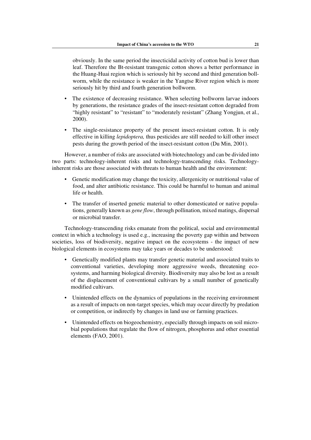obviously. In the same period the insecticidal activity of cotton bud is lower than leaf. Therefore the Bt-resistant transgenic cotton shows a better performance in the Huang-Huai region which is seriously hit by second and third generation bollworm, while the resistance is weaker in the Yangtse River region which is more seriously hit by third and fourth generation bollworm.

- The existence of decreasing resistance. When selecting bollworm larvae indoors by generations, the resistance grades of the insect-resistant cotton degraded from "highly resistant" to "resistant" to "moderately resistant" (Zhang Yongjun, et al., 2000).
- The single-resistance property of the present insect-resistant cotton. It is only effective in killing *lepidoptera,* thus pesticides are still needed to kill other insect pests during the growth period of the insect-resistant cotton (Du Min, 2001).

However, a number of risks are associated with biotechnology and can be divided into two parts: technology-inherent risks and technology-transcending risks. Technologyinherent risks are those associated with threats to human health and the environment:

- Genetic modification may change the toxicity, allergenicity or nutritional value of food, and alter antibiotic resistance. This could be harmful to human and animal life or health.
- The transfer of inserted genetic material to other domesticated or native populations, generally known as *gene flow*, through pollination, mixed matings, dispersal or microbial transfer.

Technology-transcending risks emanate from the political, social and environmental context in which a technology is used e.g., increasing the poverty gap within and between societies, loss of biodiversity, negative impact on the ecosystems - the impact of new biological elements in ecosystems may take years or decades to be understood:

- Genetically modified plants may transfer genetic material and associated traits to conventional varieties, developing more aggressive weeds, threatening ecosystems, and harming biological diversity. Biodiversity may also be lost as a result of the displacement of conventional cultivars by a small number of genetically modified cultivars.
- Unintended effects on the dynamics of populations in the receiving environment as a result of impacts on non-target species, which may occur directly by predation or competition, or indirectly by changes in land use or farming practices.
- Unintended effects on biogeochemistry, especially through impacts on soil microbial populations that regulate the flow of nitrogen, phosphorus and other essential elements (FAO, 2001).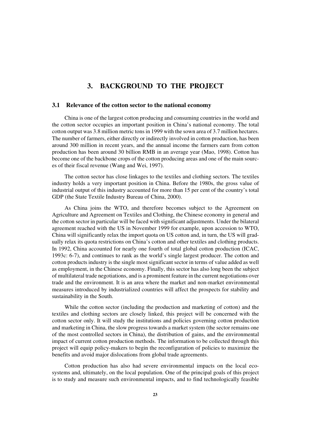# **3. BACKGROUND TO THE PROJECT**

## **3.1 Relevance of the cotton sector to the national economy**

China is one of the largest cotton producing and consuming countries in the world and the cotton sector occupies an important position in China's national economy. The total cotton output was 3.8 million metric tons in 1999 with the sown area of 3.7 million hectares. The number of farmers, either directly or indirectly involved in cotton production, has been around 300 million in recent years, and the annual income the farmers earn from cotton production has been around 30 billion RMB in an average year (Mao, 1998). Cotton has become one of the backbone crops of the cotton producing areas and one of the main sources of their fiscal revenue (Wang and Wei, 1997).

The cotton sector has close linkages to the textiles and clothing sectors. The textiles industry holds a very important position in China. Before the 1980s, the gross value of industrial output of this industry accounted for more than 15 per cent of the country's total GDP (the State Textile Industry Bureau of China, 2000).

As China joins the WTO, and therefore becomes subject to the Agreement on Agriculture and Agreement on Textiles and Clothing, the Chinese economy in general and the cotton sector in particular will be faced with significant adjustments. Under the bilateral agreement reached with the US in November 1999 for example, upon accession to WTO, China will significantly relax the import quota on US cotton and, in turn, the US will gradually relax its quota restrictions on China's cotton and other textiles and clothing products. In 1992, China accounted for nearly one fourth of total global cotton production (ICAC, 1993c: 6-7), and continues to rank as the world's single largest producer. The cotton and cotton products industry is the single most significant sector in terms of value added as well as employment, in the Chinese economy. Finally, this sector has also long been the subject of multilateral trade negotiations, and is a prominent feature in the current negotiations over trade and the environment. It is an area where the market and non-market environmental measures introduced by industrialized countries will affect the prospects for stability and sustainability in the South.

While the cotton sector (including the production and marketing of cotton) and the textiles and clothing sectors are closely linked, this project will be concerned with the cotton sector only. It will study the institutions and policies governing cotton production and marketing in China, the slow progress towards a market system (the sector remains one of the most controlled sectors in China), the distribution of gains, and the environmental impact of current cotton production methods. The information to be collected through this project will equip policy-makers to begin the reconfiguration of policies to maximize the benefits and avoid major dislocations from global trade agreements.

Cotton production has also had severe environmental impacts on the local ecosystems and, ultimately, on the local population. One of the principal goals of this project is to study and measure such environmental impacts, and to find technologically feasible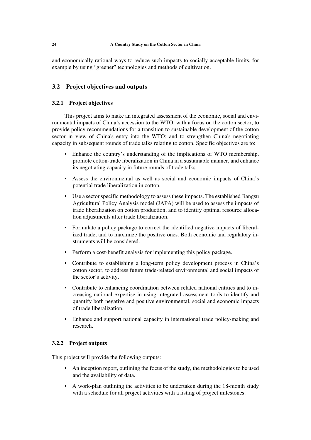and economically rational ways to reduce such impacts to socially acceptable limits, for example by using "greener" technologies and methods of cultivation.

# **3.2 Project objectives and outputs**

## **3.2.1 Project objectives**

This project aims to make an integrated assessment of the economic, social and environmental impacts of China's accession to the WTO, with a focus on the cotton sector; to provide policy recommendations for a transition to sustainable development of the cotton sector in view of China's entry into the WTO; and to strengthen China's negotiating capacity in subsequent rounds of trade talks relating to cotton. Specific objectives are to:

- Enhance the country's understanding of the implications of WTO membership, promote cotton-trade liberalization in China in a sustainable manner, and enhance its negotiating capacity in future rounds of trade talks.
- Assess the environmental as well as social and economic impacts of China's potential trade liberalization in cotton.
- Use a sector specific methodology to assess these impacts. The established Jiangsu Agricultural Policy Analysis model (JAPA) will be used to assess the impacts of trade liberalization on cotton production, and to identify optimal resource allocation adjustments after trade liberalization.
- Formulate a policy package to correct the identified negative impacts of liberalized trade, and to maximize the positive ones. Both economic and regulatory instruments will be considered.
- Perform a cost-benefit analysis for implementing this policy package.
- Contribute to establishing a long-term policy development process in China's cotton sector, to address future trade-related environmental and social impacts of the sector's activity.
- Contribute to enhancing coordination between related national entities and to increasing national expertise in using integrated assessment tools to identify and quantify both negative and positive environmental, social and economic impacts of trade liberalization.
- Enhance and support national capacity in international trade policy-making and research.

## **3.2.2 Project outputs**

This project will provide the following outputs:

- An inception report, outlining the focus of the study, the methodologies to be used and the availability of data.
- A work-plan outlining the activities to be undertaken during the 18-month study with a schedule for all project activities with a listing of project milestones.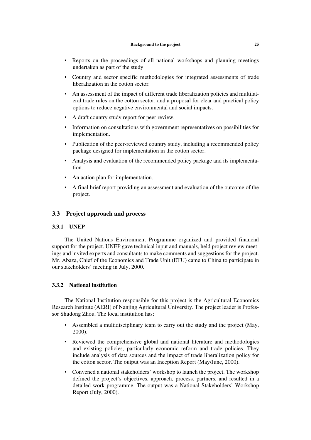- Reports on the proceedings of all national workshops and planning meetings undertaken as part of the study.
- Country and sector specific methodologies for integrated assessments of trade liberalization in the cotton sector.
- An assessment of the impact of different trade liberalization policies and multilateral trade rules on the cotton sector, and a proposal for clear and practical policy options to reduce negative environmental and social impacts.
- A draft country study report for peer review.
- Information on consultations with government representatives on possibilities for implementation.
- Publication of the peer-reviewed country study, including a recommended policy package designed for implementation in the cotton sector.
- Analysis and evaluation of the recommended policy package and its implementation.
- An action plan for implementation.
- A final brief report providing an assessment and evaluation of the outcome of the project.

# **3.3 Project approach and process**

# **3.3.1 UNEP**

The United Nations Environment Programme organized and provided financial support for the project. UNEP gave technical input and manuals, held project review meetings and invited experts and consultants to make comments and suggestions for the project. Mr. Abaza, Chief of the Economics and Trade Unit (ETU) came to China to participate in our stakeholders' meeting in July, 2000.

## **3.3.2 National institution**

The National Institution responsible for this project is the Agricultural Economics Research Institute (AERI) of Nanjing Agricultural University. The project leader is Professor Shudong Zhou. The local institution has:

- Assembled a multidisciplinary team to carry out the study and the project (May, 2000).
- Reviewed the comprehensive global and national literature and methodologies and existing policies, particularly economic reform and trade policies. They include analysis of data sources and the impact of trade liberalization policy for the cotton sector. The output was an Inception Report (May/June, 2000).
- Convened a national stakeholders' workshop to launch the project. The workshop defined the project's objectives, approach, process, partners, and resulted in a detailed work programme. The output was a National Stakeholders' Workshop Report (July, 2000).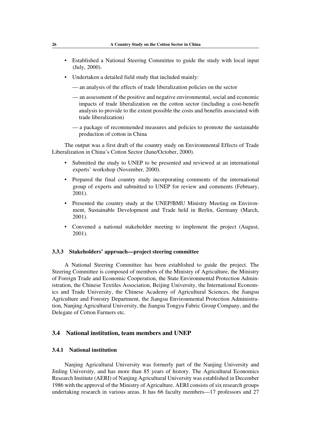- Established a National Steering Committee to guide the study with local input (July, 2000).
- Undertaken a detailed field study that included mainly:
	- — an analysis of the effects of trade liberalization policies on the sector
	- — an assessment of the positive and negative environmental, social and economic impacts of trade liberalization on the cotton sector (including a cost-benefit analysis to provide to the extent possible the costs and benefits associated with trade liberalization)
	- $-$  a package of recommended measures and policies to promote the sustainable production of cotton in China

The output was a first draft of the country study on Environmental Effects of Trade Liberalization in China's Cotton Sector (June/October, 2000).

- Submitted the study to UNEP to be presented and reviewed at an international experts' workshop (November, 2000).
- Prepared the final country study incorporating comments of the international group of experts and submitted to UNEP for review and comments (February, 2001).
- Presented the country study at the UNEP/BMU Ministry Meeting on Environment, Sustainable Development and Trade held in Berlin, Germany (March, 2001).
- Convened a national stakeholder meeting to implement the project (August, 2001).

## **3.3.3 Stakeholders' approach—project steering committee**

A National Steering Committee has been established to guide the project. The Steering Committee is composed of members of the Ministry of Agriculture, the Ministry of Foreign Trade and Economic Cooperation, the State Environmental Protection Administration, the Chinese Textiles Association, Beijing University, the International Economics and Trade University, the Chinese Academy of Agricultural Sciences, the Jiangsu Agriculture and Forestry Department, the Jiangsu Environmental Protection Administration, Nanjing Agricultural University, the Jiangsu Tongyu Fabric Group Company, and the Delegate of Cotton Farmers etc.

#### **3.4 National institution, team members and UNEP**

## **3.4.1 National institution**

Nanjing Agricultural University was formerly part of the Nanjing University and Jinling University, and has more than 85 years of history. The Agricultural Economics Research Institute (AERI) of Nanjing Agricultural University was established in December 1986 with the approval of the Ministry of Agriculture. AERI consists of six research groups undertaking research in various areas. It has 66 faculty members—17 professors and 27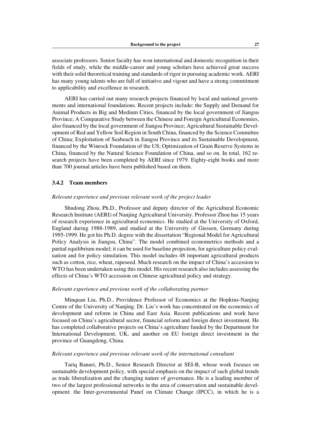associate professors. Senior faculty has won international and domestic recognition in their fields of study, while the middle-career and young scholars have achieved great success with their solid theoretical training and standards of rigor in pursuing academic work. AERI has many young talents who are full of initiative and vigour and have a strong commitment to applicability and excellence in research.

AERI has carried out many research projects financed by local and national governments and international foundations. Recent projects include: the Supply and Demand for Animal Products in Big and Medium Cities, financed by the local government of Jiangsu Province; A Comparative Study between the Chinese and Foreign Agricultural Economies, also financed by the local government of Jiangsu Province; Agricultural Sustainable Development of Red and Yellow Soil Region in South China, financed by the Science Committee of China; Exploitation of Seabeach in Jiangsu Province and its Sustainable Development, financed by the Winrock Foundation of the US; Optimization of Grain Reserve Systems in China, financed by the Natural Science Foundation of China, and so on. In total, 162 research projects have been completed by AERI since 1979. Eighty-eight books and more than 700 journal articles have been published based on them.

#### **3.4.2 Team members**

#### *Relevant experience and previous relevant work of the project leader*

Shudong Zhou, Ph.D., Professor and deputy director of the Agricultural Economic Research Institute (AERI) of Nanjing Agricultural University. Professor Zhou has 15 years of research experience in agricultural economics. He studied at the University of Oxford, England during 1988-1989, and studied at the University of Giessen, Germany during 1995-1999. He got his Ph.D. degree with the dissertation "Regional Model for Agricultural Policy Analysis in Jiangsu, China". The model combined econometrics methods and a partial equilibrium model; it can be used for baseline projection, for agriculture policy evaluation and for policy simulation. This model includes 48 important agricultural products such as cotton, rice, wheat, rapeseed. Much research on the impact of China's accession to WTO has been undertaken using this model. His recent research also includes assessing the effects of China's WTO accession on Chinese agricultural policy and strategy.

#### *Relevant experience and previous work of the collaborating partner*

Minquan Liu, Ph.D., Providence Professor of Economics at the Hopkins-Nanjing Centre of the University of Nanjing. Dr. Liu's work has concentrated on the economics of development and reform in China and East Asia. Recent publications and work have focused on China's agricultural sector, financial reform and foreign direct investment. He has completed collaborative projects on China's agriculture funded by the Department for International Development, UK, and another on EU foreign direct investment in the province of Guangdong, China.

#### *Relevant experience and previous relevant work of the international consultant*

Tariq Banuri, Ph.D., Senior Research Director at SEI-B, whose work focuses on sustainable development policy, with special emphasis on the impact of such global trends as trade liberalization and the changing nature of governance. He is a leading member of two of the largest professional networks in the area of conservation and sustainable development: the Inter-governmental Panel on Climate Change (IPCC), in which he is a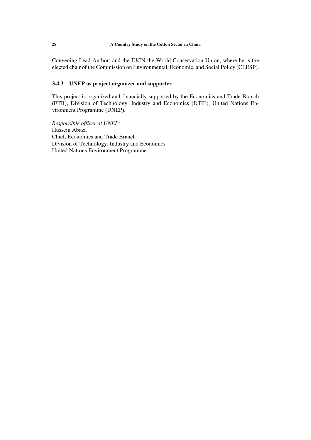Convening Lead Author; and the IUCN-the World Conservation Union, where he is the elected chair of the Commission on Environmental, Economic, and Social Policy (CEESP).

# **3.4.3 UNEP as project organizer and supporter**

This project is organized and financially supported by the Economics and Trade Branch (ETB), Division of Technology, Industry and Economics (DTIE), United Nations Environment Programme (UNEP).

*Responsible officer at UNEP:* Hussein Abaza Chief, Economics and Trade Branch Division of Technology, Industry and Economics United Nations Environment Programme.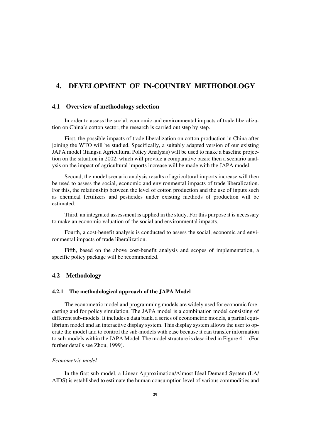# **4. DEVELOPMENT OF IN-COUNTRY METHODOLOGY**

# **4.1 Overview of methodology selection**

In order to assess the social, economic and environmental impacts of trade liberalization on China's cotton sector, the research is carried out step by step.

First, the possible impacts of trade liberalization on cotton production in China after joining the WTO will be studied. Specifically, a suitably adapted version of our existing JAPA model (Jiangsu Agricultural Policy Analysis) will be used to make a baseline projection on the situation in 2002, which will provide a comparative basis; then a scenario analysis on the impact of agricultural imports increase will be made with the JAPA model.

Second, the model scenario analysis results of agricultural imports increase will then be used to assess the social, economic and environmental impacts of trade liberalization. For this, the relationship between the level of cotton production and the use of inputs such as chemical fertilizers and pesticides under existing methods of production will be estimated.

Third, an integrated assessment is applied in the study. For this purpose it is necessary to make an economic valuation of the social and environmental impacts.

Fourth, a cost-benefit analysis is conducted to assess the social, economic and environmental impacts of trade liberalization.

Fifth, based on the above cost-benefit analysis and scopes of implementation, a specific policy package will be recommended.

#### **4.2 Methodology**

#### **4.2.1 The methodological approach of the JAPA Model**

The econometric model and programming models are widely used for economic forecasting and for policy simulation. The JAPA model is a combination model consisting of different sub-models. It includes a data bank, a series of econometric models, a partial equilibrium model and an interactive display system. This display system allows the user to operate the model and to control the sub-models with ease because it can transfer information to sub-models within the JAPA Model. The model structure is described in Figure 4.1. (For further details see Zhou, 1999).

## *Econometric model*

In the first sub-model, a Linear Approximation/Almost Ideal Demand System (LA/ AIDS) is established to estimate the human consumption level of various commodities and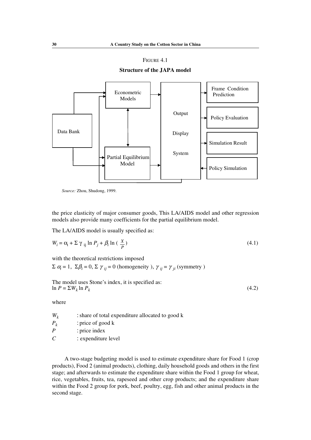## FIGURE 4.1

**Structure of the JAPA model**



*Source:* Zhou, Shudong, 1999.

the price elasticity of major consumer goods, This LA/AIDS model and other regression models also provide many coefficients for the partial equilibrium model.

The LA/AIDS model is usually specified as:

$$
W_i = \alpha_i + \sum \gamma_{ij} \ln P_j + \beta_i \ln \left( \frac{X}{P} \right) \tag{4.1}
$$

with the theoretical restrictions imposed

 $\Sigma$   $\alpha$ <sub>*i*</sub> = 1,  $\Sigma$  $\beta$ <sub>*i*</sub> = 0,  $\Sigma$   $\gamma$ <sub>*ij*</sub> = 0 (homogeneity ),  $\gamma$ <sub>*ij*</sub> =  $\gamma$ <sub>*ji*</sub> (symmetry )

The model uses Stone's index, it is specified as:  $\ln P = \sum W_k \ln P_k$  (4.2)

where

| $W_k$     | : share of total expenditure allocated to good k |
|-----------|--------------------------------------------------|
| $P_{\nu}$ | : price of good $k$                              |
| P         | : price index                                    |
| C         | : expenditure level                              |

A two-stage budgeting model is used to estimate expenditure share for Food 1 (crop products), Food 2 (animal products), clothing, daily household goods and others in the first stage; and afterwards to estimate the expenditure share within the Food 1 group for wheat, rice, vegetables, fruits, tea, rapeseed and other crop products; and the expenditure share within the Food 2 group for pork, beef, poultry, egg, fish and other animal products in the second stage.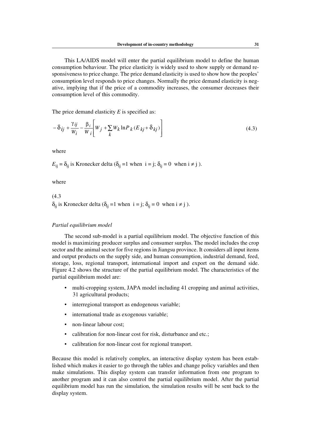This LA/AIDS model will enter the partial equilibrium model to define the human consumption behaviour. The price elasticity is widely used to show supply or demand responsiveness to price change. The price demand elasticity is used to show how the peoples' consumption level responds to price changes. Normally the price demand elasticity is negative, implying that if the price of a commodity increases, the consumer decreases their consumption level of this commodity.

The price demand elasticity *E* is specified as:

$$
-\delta_{ij} + \frac{\gamma_{ij}}{W_i} - \frac{\beta_i}{W_i} \left[ W_j + \sum_k W_k \ln P_k (E_{kj} + \delta_{kj}) \right]
$$
\n(4.3)

where

 $E_{ii} = \delta_{ii}$  is Kronecker delta ( $\delta_{ii} = 1$  when  $i = j$ ;  $\delta_{ii} = 0$  when  $i \neq j$ ).

where

(4.3  $\delta_{ii}$  is Kronecker delta ( $\delta_{ii} = 1$  when  $i = j$ ;  $\delta_{ii} = 0$  when  $i \neq j$ ).

## *Partial equilibrium model*

The second sub-model is a partial equilibrium model. The objective function of this model is maximizing producer surplus and consumer surplus. The model includes the crop sector and the animal sector for five regions in Jiangsu province. It considers all input items and output products on the supply side, and human consumption, industrial demand, feed, storage, loss, regional transport, international import and export on the demand side. Figure 4.2 shows the structure of the partial equilibrium model. The characteristics of the partial equilibrium model are:

- multi-cropping system, JAPA model including 41 cropping and animal activities, 31 agricultural products;
- interregional transport as endogenous variable;
- international trade as exogenous variable;
- non-linear labour cost;
- calibration for non-linear cost for risk, disturbance and etc.;
- calibration for non-linear cost for regional transport.

Because this model is relatively complex, an interactive display system has been established which makes it easier to go through the tables and change policy variables and then make simulations. This display system can transfer information from one program to another program and it can also control the partial equilibrium model. After the partial equilibrium model has run the simulation, the simulation results will be sent back to the display system.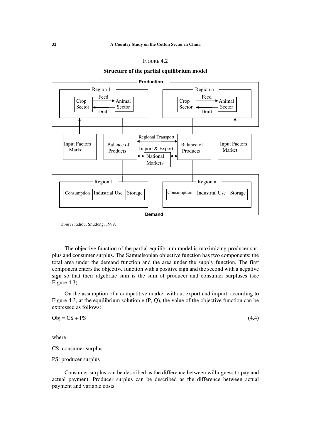| FIGURE 4.2 |  |
|------------|--|
|------------|--|





*Source:* Zhou, Shudong, 1999.

The objective function of the partial equilibrium model is maximizing producer surplus and consumer surplus. The Samuelsonian objective function has two components: the total area under the demand function and the area under the supply function. The first component enters the objective function with a positive sign and the second with a negative sign so that their algebraic sum is the sum of producer and consumer surpluses (see Figure 4.3).

On the assumption of a competitive market without export and import, according to Figure 4.3, at the equilibrium solution e (P, Q), the value of the objective function can be expressed as follows:

 $Obj = CS + PS$  (4.4)

where

CS: consumer surplus

PS: producer surplus

Consumer surplus can be described as the difference between willingness to pay and actual payment. Producer surplus can be described as the difference between actual payment and variable costs.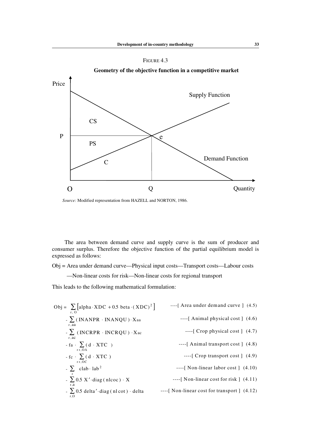





*Source:* Modified representation from HAZELL and NORTON, 1986.

The area between demand curve and supply curve is the sum of producer and consumer surplus. Therefore the objective function of the partial equilibrium model is expressed as follows:

Obj = Area under demand curve—Physical input costs—Transport costs—Labour costs

—Non-linear costs for risk—Non-linear costs for regional transport

This leads to the following mathematical formulation:

Obj = 
$$
\sum_{r, 0} [alpha \cdot XDC + 0.5 \text{ beta} \cdot (XDC)^{2}]
$$
 ----[ Area under demand curve] (4.5)

\n-  $\sum_{r, aa} (INANPR \cdot INANQU) \cdot Xaa$  ----[ Animal physical cost] (4.6)

\n-  $\sum_{r, ac} (INCRPR \cdot INCRQU) \cdot Xac$  ---[ *Group physical cost*] (4.7)

\n-  $fa \cdot \sum_{r, OA} (d \cdot XTC)$  ---[ *Graphal transport cost*] (4.8)

\n-  $fc \cdot \sum_{r, OC} (d \cdot XTC)$  ---[ *Top transport cost*] (4.9)

\n-  $\sum_{r, a} (2.5 \times 1.4 \times 1.4 \times 1.4 \times 1.4 \times 1.4 \times 1.4 \times 1.4 \times 1.4 \times 1.4 \times 1.4 \times 1.4 \times 1.4 \times 1.4 \times 1.4 \times 1.4 \times 1.4 \times 1.4 \times 1.4 \times 1.4 \times 1.4 \times 1.4 \times 1.4 \times 1.4 \times 1.4 \times 1.4 \times 1.4 \times 1.4 \times 1.4 \times 1.4 \times 1.4 \times 1.4 \times 1.4 \times 1.4 \times 1.4 \times 1.4 \times 1.4 \times 1.4 \times 1.4 \times 1.4 \times 1.4 \times 1.4 \times 1.4 \times 1.4 \times 1.4 \times 1.4 \times 1.4 \times 1.4 \times 1.4 \times 1.4 \times 1.4 \times 1.4 \times 1.4 \times 1.4 \times 1.4 \times 1.4 \times 1.4 \times 1.4 \times 1.4 \times 1.4 \times 1.4 \times 1.4 \times 1.4 \times 1.4 \times 1.4 \times 1.4 \times 1.4 \times 1.4 \times 1.4 \times 1.4 \times 1.4 \times 1.4 \times 1.4 \times 1.4 \times 1.4 \times 1.4 \times 1.4 \times 1.4 \times 1.4 \times 1.4 \times 1.4 \times 1.4 \times 1.4 \times 1.$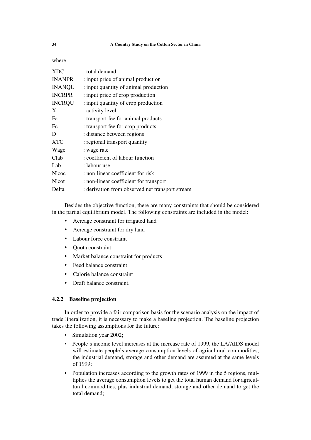where

| <b>XDC</b>    | : total demand                                  |
|---------------|-------------------------------------------------|
| <b>INANPR</b> | : input price of animal production              |
| <b>INANQU</b> | : input quantity of animal production           |
| <b>INCRPR</b> | : input price of crop production                |
| <b>INCRQU</b> | : input quantity of crop production             |
| X             | : activity level                                |
| Fa            | : transport fee for animal products             |
| Fc            | : transport fee for crop products               |
| D             | : distance between regions                      |
| XTC           | : regional transport quantity                   |
| Wage          | : wage rate                                     |
| Clab          | : coefficient of labour function                |
| Lab           | : labour use                                    |
| Nlcoc         | : non-linear coefficient for risk               |
| Nlcot         | : non-linear coefficient for transport          |
| Delta         | : derivation from observed net transport stream |

Besides the objective function, there are many constraints that should be considered in the partial equilibrium model. The following constraints are included in the model:

- Acreage constraint for irrigated land
- Acreage constraint for dry land
- Labour force constraint
- Quota constraint
- Market balance constraint for products
- Feed balance constraint
- Calorie balance constraint
- Draft balance constraint.

#### **4.2.2 Baseline projection**

In order to provide a fair comparison basis for the scenario analysis on the impact of trade liberalization, it is necessary to make a baseline projection. The baseline projection takes the following assumptions for the future:

- Simulation year 2002;
- People's income level increases at the increase rate of 1999, the LA/AIDS model will estimate people's average consumption levels of agricultural commodities, the industrial demand, storage and other demand are assumed at the same levels of 1999;
- Population increases according to the growth rates of 1999 in the 5 regions, multiplies the average consumption levels to get the total human demand for agricultural commodities, plus industrial demand, storage and other demand to get the total demand;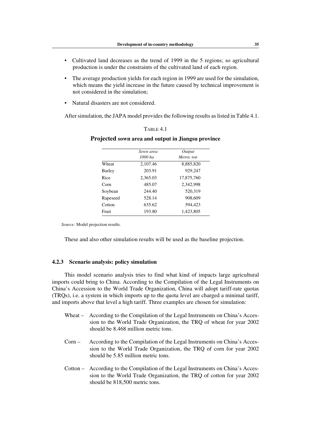- Cultivated land decreases as the trend of 1999 in the 5 regions; so agricultural production is under the constraints of the cultivated land of each region.
- The average production yields for each region in 1999 are used for the simulation, which means the yield increase in the future caused by technical improvement is not considered in the simulation;
- Natural disasters are not considered.

After simulation, the JAPA model provides the following results as listed in Table 4.1.

# TABLE 4.1

#### **Projected sown area and output in Jiangsu province**

|          | Sown area | Output     |
|----------|-----------|------------|
|          | $1000$ ha | Metric ton |
| Wheat    | 2,107.46  | 8,885,820  |
| Barley   | 203.91    | 929.247    |
| Rice     | 2,365.03  | 17,875,760 |
| Corn     | 485.07    | 2,342,998  |
| Soybean  | 244.40    | 520,319    |
| Rapeseed | 528.14    | 908,609    |
| Cotton   | 635.62    | 594,423    |
| Fruit    | 193.80    | 1,423,805  |

*Source:* Model projection results.

These and also other simulation results will be used as the baseline projection.

# **4.2.3 Scenario analysis: policy simulation**

This model scenario analysis tries to find what kind of impacts large agricultural imports could bring to China. According to the Compilation of the Legal Instruments on China's Accession to the World Trade Organization, China will adopt tariff-rate quotas (TRQs), i.e. a system in which imports up to the quota level are charged a minimal tariff, and imports above that level a high tariff. Three examples are chosen for simulation:

- Wheat According to the Compilation of the Legal Instruments on China's Accession to the World Trade Organization, the TRQ of wheat for year 2002 should be 8.468 million metric tons.
- Corn According to the Compilation of the Legal Instruments on China's Accession to the World Trade Organization, the TRQ of corn for year 2002 should be 5.85 million metric tons.
- Cotton According to the Compilation of the Legal Instruments on China's Accession to the World Trade Organization, the TRQ of cotton for year 2002 should be 818,500 metric tons.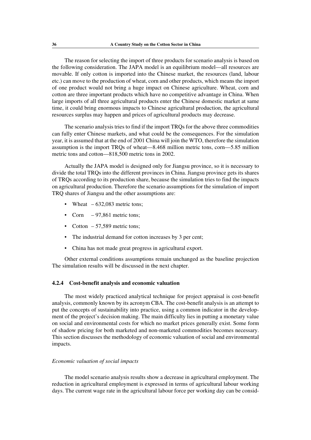The reason for selecting the import of three products for scenario analysis is based on the following consideration. The JAPA model is an equilibrium model—all resources are movable. If only cotton is imported into the Chinese market, the resources (land, labour etc.) can move to the production of wheat, corn and other products, which means the import of one product would not bring a huge impact on Chinese agriculture. Wheat, corn and cotton are three important products which have no competitive advantage in China. When large imports of all three agricultural products enter the Chinese domestic market at same time, it could bring enormous impacts to Chinese agricultural production, the agricultural resources surplus may happen and prices of agricultural products may decrease.

The scenario analysis tries to find if the import TRQs for the above three commodities can fully enter Chinese markets, and what could be the consequences. For the simulation year, it is assumed that at the end of 2001 China will join the WTO, therefore the simulation assumption is the import TRQs of wheat—8.468 million metric tons, corn—5.85 million metric tons and cotton—818,500 metric tons in 2002.

Actually the JAPA model is designed only for Jiangsu province, so it is necessary to divide the total TRQs into the different provinces in China. Jiangsu province gets its shares of TRQs according to its production share, because the simulation tries to find the impacts on agricultural production. Therefore the scenario assumptions for the simulation of import TRQ shares of Jiangsu and the other assumptions are:

- Wheat  $-632,083$  metric tons;
- Corn  $-97.861$  metric tons:
- Cotton  $-57,589$  metric tons;
- The industrial demand for cotton increases by 3 per cent;
- China has not made great progress in agricultural export.

Other external conditions assumptions remain unchanged as the baseline projection The simulation results will be discussed in the next chapter.

#### **4.2.4 Cost-benefit analysis and economic valuation**

The most widely practiced analytical technique for project appraisal is cost-benefit analysis, commonly known by its acronym CBA. The cost-benefit analysis is an attempt to put the concepts of sustainability into practice, using a common indicator in the development of the project's decision making. The main difficulty lies in putting a monetary value on social and environmental costs for which no market prices generally exist. Some form of shadow pricing for both marketed and non-marketed commodities becomes necessary. This section discusses the methodology of economic valuation of social and environmental impacts.

#### *Economic valuation of social impacts*

The model scenario analysis results show a decrease in agricultural employment. The reduction in agricultural employment is expressed in terms of agricultural labour working days. The current wage rate in the agricultural labour force per working day can be consid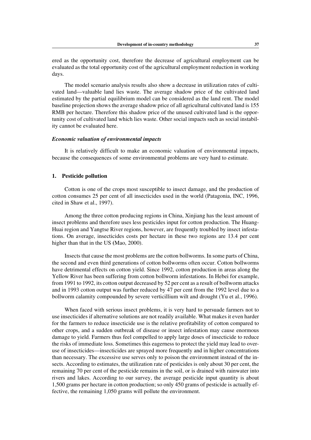ered as the opportunity cost, therefore the decrease of agricultural employment can be evaluated as the total opportunity cost of the agricultural employment reduction in working days.

The model scenario analysis results also show a decrease in utilization rates of cultivated land—valuable land lies waste. The average shadow price of the cultivated land estimated by the partial equilibrium model can be considered as the land rent. The model baseline projection shows the average shadow price of all agricultural cultivated land is 155 RMB per hectare. Therefore this shadow price of the unused cultivated land is the opportunity cost of cultivated land which lies waste. Other social impacts such as social instability cannot be evaluated here.

#### *Economic valuation of environmental impacts*

It is relatively difficult to make an economic valuation of environmental impacts, because the consequences of some environmental problems are very hard to estimate.

## **1. Pesticide pollution**

Cotton is one of the crops most susceptible to insect damage, and the production of cotton consumes 25 per cent of all insecticides used in the world (Patagonia, INC, 1996, cited in Shaw et al., 1997).

Among the three cotton producing regions in China, Xinjiang has the least amount of insect problems and therefore uses less pesticides input for cotton production. The Huang-Huai region and Yangtse River regions, however, are frequently troubled by insect infestations. On average, insecticides costs per hectare in these two regions are 13.4 per cent higher than that in the US **(**Mao, 2000).

Insects that cause the most problems are the cotton bollworms. In some parts of China, the second and even third generations of cotton bollworms often occur. Cotton bollworms have detrimental effects on cotton yield. Since 1992, cotton production in areas along the Yellow River has been suffering from cotton bollworm infestations. In Hebei for example, from 1991 to 1992, its cotton output decreased by 52 per cent as a result of bollworm attacks and in 1993 cotton output was further reduced by 47 per cent from the 1992 level due to a bollworm calamity compounded by severe verticillium wilt and drought (Yu et al., 1996).

When faced with serious insect problems, it is very hard to persuade farmers not to use insecticides if alternative solutions are not readily available. What makes it even harder for the farmers to reduce insecticide use is the relative profitability of cotton compared to other crops, and a sudden outbreak of disease or insect infestation may cause enormous damage to yield. Farmers thus feel compelled to apply large doses of insecticide to reduce the risks of immediate loss. Sometimes this eagerness to protect the yield may lead to overuse of insecticides—insecticides are sprayed more frequently and in higher concentrations than necessary. The excessive use serves only to poison the environment instead of the insects. According to estimates, the utilization rate of pesticides is only about 30 per cent, the remaining 70 per cent of the pesticide remains in the soil, or is drained with rainwater into rivers and lakes. According to our survey, the average pesticide input quantity is about 1,500 grams per hectare in cotton production; so only 450 grams of pesticide is actually effective, the remaining 1,050 grams will pollute the environment.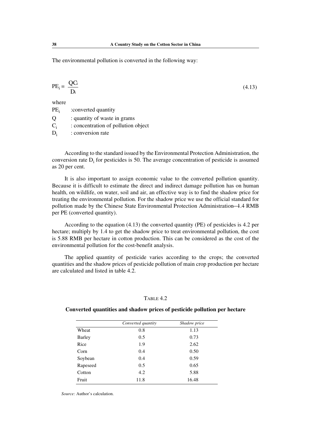The environmental pollution is converted in the following way:

$$
PE_i = \frac{QG}{Di}
$$
 (4.13)

where

 $PE_i$  : converted quantity

Q : quantity of waste in grams C<sub>i</sub> : concentration of pollution object  $D_i$ : conversion rate

According to the standard issued by the Environmental Protection Administration, the conversion rate  $D_i$  for pesticides is 50. The average concentration of pesticide is assumed as 20 per cent.

It is also important to assign economic value to the converted pollution quantity. Because it is difficult to estimate the direct and indirect damage pollution has on human health, on wildlife, on water, soil and air, an effective way is to find the shadow price for treating the environmental pollution. For the shadow price we use the official standard for pollution made by the Chinese State Environmental Protection Administration-4.4 RMB per PE (converted quantity).

According to the equation (4.13) the converted quantity (PE) of pesticides is 4.2 per hectare; multiply by 1.4 to get the shadow price to treat environmental pollution, the cost is 5.88 RMB per hectare in cotton production. This can be considered as the cost of the environmental pollution for the cost-benefit analysis.

The applied quantity of pesticide varies according to the crops; the converted quantities and the shadow prices of pesticide pollution of main crop production per hectare are calculated and listed in table 4.2.

## TABLE 4.2

## **Converted quantities and shadow prices of pesticide pollution per hectare**

|               | Converted quantity | Shadow price |
|---------------|--------------------|--------------|
| Wheat         | 0.8                | 1.13         |
| <b>Barley</b> | 0.5                | 0.73         |
| Rice          | 1.9                | 2.62         |
| Corn          | 0.4                | 0.50         |
| Soybean       | 0.4                | 0.59         |
| Rapeseed      | 0.5                | 0.65         |
| Cotton        | 4.2                | 5.88         |
| Fruit         | 11.8               | 16.48        |
|               |                    |              |

*Source:* Author's calculation.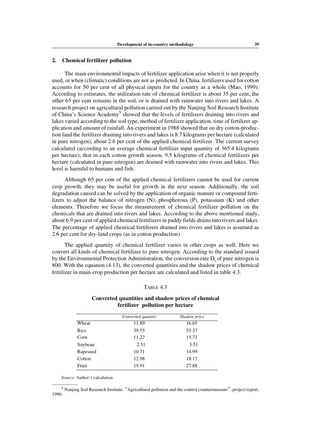#### **2. Chemical fertilizer pollution**

The main environmental impacts of fertilizer application arise when it is not properly used, or when (climatic) conditions are not as predicted. In China, fertilizers used for cotton accounts for 50 per cent of all physical inputs for the country as a whole (Mao, 1999). According to estimates, the utilization rate of chemical fertilizer is about 35 per cent, the other 65 per cent remains in the soil, or is drained with rainwater into rivers and lakes. A research project on agricultural pollution carried out by the Nanjing Soil Research Institute of China's Science Academy<sup>5</sup> showed that the levels of fertilizers draining into rivers and lakes varied according to the soil type, method of fertilizer application, time of fertilizer application and amount of rainfall. An experiment in 1988 showed that on dry cotton-production land the fertilizer draining into rivers and lakes is 8.7 kilograms per hectare (calculated in pure nitrogen), about 2.6 per cent of the applied chemical fertilizer. The current survey calculated (according to an average chemical fertilizer input quantity of 365.4 kilograms per hectare), that in each cotton growth season, 9.5 kilograms of chemical fertilizers per hectare (calculated in pure nitrogen) are drained with rainwater into rivers and lakes. This level is harmful to humans and fish.

Although 65 per cent of the applied chemical fertilizers cannot be used for current crop growth, they may be useful for growth in the next season. Additionally, the soil degradation caused can be solved by the application of organic manure or compound fertilizers to adjust the balance of nitrogen (N), phosphorous (P), potassium (K) and other elements. Therefore we focus the measurement of chemical fertilizer pollution on the chemicals that are drained into rivers and lakes. According to the above mentioned study, about 6.9 per cent of applied chemical fertilizers in paddy fields drains into rivers and lakes. The percentage of applied chemical fertilizers drained into rivers and lakes is assumed as 2.6 per cent for dry-land crops (as in cotton production).

The applied quantity of chemical fertilizer varies in other crops as well. Here we convert all kinds of chemical fertilizer to pure nitrogen. According to the standard issued by the Environmental Protection Administration, the conversion rate  $D_i$  of pure nitrogen is 800. With the equation (4.13), the converted quantities and the shadow prices of chemical fertilizer in main-crop production per hectare are calculated and listed in table 4.3.

#### TABLE 4.3

## **Converted quantities and shadow prices of chemical fertilizer pollution per hectare**

|          | Converted quantity | Shadow price |
|----------|--------------------|--------------|
| Wheat    | 11.89              | 16.65        |
| Rice     | 39.55              | 55.37        |
| Corn     | 11.22              | 15.71        |
| Soybean  | 2.51               | 3.51         |
| Rapeseed | 10.71              | 14.99        |
| Cotton   | 12.98              | 18.17        |
| Fruit    | 19.91              | 27.88        |

*Source:* Author's calculation.

 $<sup>5</sup>$  Nanjing Soil Research Institute. "Agricultural pollution and the control countermeasure", project report,</sup> 1990.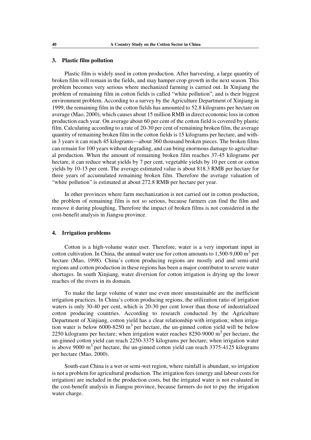## **3. Plastic film pollution**

Plastic film is widely used in cotton production. After harvesting, a large quantity of broken film will remain in the fields, and may hamper crop growth in the next season. This problem becomes very serious where mechanized farming is carried out. In Xinjiang the problem of remaining film in cotton fields is called "white pollution", and is their biggest environment problem. According to a survey by the Agriculture Department of Xinjiang in 1999, the remaining film in the cotton fields has amounted to 52.8 kilograms per hectare on average (Mao, 2000), which causes about 15 million RMB in direct economic loss in cotton production each year. On average about 60 per cent of the cotton field is covered by plastic film. Calculating according to a rate of 20-30 per cent of remaining broken film, the average quantity of remaining broken film in the cotton fields is 15 kilograms per hectare, and within 3 years it can reach 45 kilograms—about 360 thousand broken pieces. The broken films can remain for 100 years without degrading, and can bring enormous damage to agricultural production. When the amount of remaining broken film reaches 37-45 kilograms per hectare, it can reduce wheat yields by 7 per cent, vegetable yields by 10 per cent or cotton yields by 10-15 per cent. The average estimated value is about 818.3 RMB per hectare for three years of accumulated remaining broken film. Therefore the average valuation of "white pollution" is estimated at about 272.8 RMB per hectare per year.

In other provinces where farm mechanization is not carried out in cotton production, the problem of remaining film is not so serious, because farmers can find the film and remove it during ploughing, Therefore the impact of broken films is not considered in the cost-benefit analysis in Jiangsu province.

#### **4. Irrigation problems**

Cotton is a high-volume water user. Therefore, water is a very important input in cotton cultivation. In China, the annual water use for cotton amounts to  $1,500-9,000$  m<sup>3</sup> per hectare (Mao, 1998). China's cotton producing regions are mostly arid and semi-arid regions and cotton production in these regions has been a major contributor to severe water shortages. In south Xinjiang, water diversion for cotton irrigation is drying up the lower reaches of the rivers in its domain.

To make the large volume of water use even more unsustainable are the inefficient irrigation practices. In China's cotton producing regions, the utilization ratio of irrigation waters is only 30-40 per cent, which is 20-30 per cent lower than those of industrialized cotton producing countries. According to research conducted by the Agriculture Department of Xinjiang, cotton yield has a clear relationship with irrigation; when irrigation water is below 6000-8250  $m<sup>3</sup>$  per hectare, the un-ginned cotton yield will be below 2250 kilograms per hectare; when irrigation water reaches 8250-9000  $\text{m}^3$  per hectare, the un-ginned cotton yield can reach 2250-3375 kilograms per hectare; when irrigation water is above 9000  $\text{m}^3$  per hectare, the un-ginned cotton yield can reach 3375-4125 kilograms per hectare (Mao, 2000).

South-east China is a wet or semi-wet region, where rainfall is abundant, so irrigation is not a problem for agricultural production. The irrigation fees (energy and labour costs for irrigation) are included in the production costs, but the irrigated water is not evaluated in the cost-benefit analysis in Jiangsu province, because farmers do not to pay the irrigation water charge.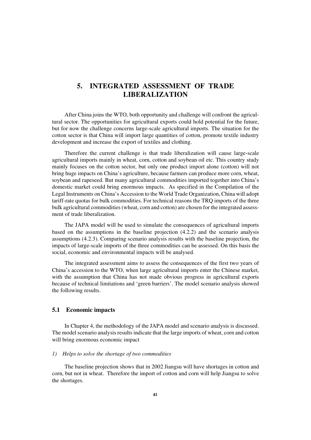# **5. INTEGRATED ASSESSMENT OF TRADE LIBERALIZATION**

After China joins the WTO, both opportunity and challenge will confront the agricultural sector. The opportunities for agricultural exports could hold potential for the future, but for now the challenge concerns large-scale agricultural imports. The situation for the cotton sector is that China will import large quantities of cotton, promote textile industry development and increase the export of textiles and clothing.

Therefore the current challenge is that trade liberalization will cause large-scale agricultural imports mainly in wheat, corn, cotton and soybean oil etc. This country study mainly focuses on the cotton sector, but only one product import alone (cotton) will not bring huge impacts on China's agriculture, because farmers can produce more corn, wheat, soybean and rapeseed. But many agricultural commodities imported together into China's domestic market could bring enormous impacts. As specified in the Compilation of the Legal Instruments on China's Accession to the World Trade Organization, China will adopt tariff-rate quotas for bulk commodities. For technical reasons the TRQ imports of the three bulk agricultural commodities (wheat, corn and cotton) are chosen for the integrated assessment of trade liberalization.

The JAPA model will be used to simulate the consequences of agricultural imports based on the assumptions in the baseline projection (4.2.2) and the scenario analysis assumptions (4.2.3). Comparing scenario analysis results with the baseline projection, the impacts of large-scale imports of the three commodities can be assessed. On this basis the social, economic and environmental impacts will be analysed.

The integrated assessment aims to assess the consequences of the first two years of China's accession to the WTO, when large agricultural imports enter the Chinese market, with the assumption that China has not made obvious progress in agricultural exports because of technical limitations and 'green barriers'. The model scenario analysis showed the following results.

## **5.1 Economic impacts**

In Chapter 4, the methodology of the JAPA model and scenario analysis is discussed. The model scenario analysis results indicate that the large imports of wheat, corn and cotton will bring enormous economic impact

## *1) Helps to solve the shortage of two commodities*

The baseline projection shows that in 2002 Jiangsu will have shortages in cotton and corn, but not in wheat. Therefore the import of cotton and corn will help Jiangsu to solve the shortages.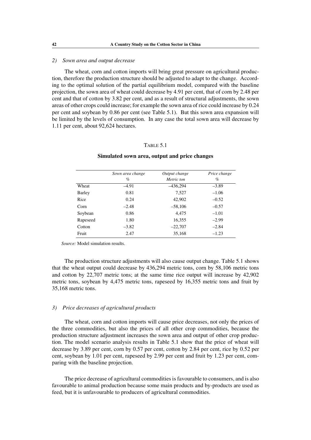## *2) Sown area and output decrease*

The wheat, corn and cotton imports will bring great pressure on agricultural production, therefore the production structure should be adjusted to adapt to the change. According to the optimal solution of the partial equilibrium model, compared with the baseline projection, the sown area of wheat could decrease by 4.91 per cent, that of corn by 2.48 per cent and that of cotton by 3.82 per cent, and as a result of structural adjustments, the sown areas of other crops could increase; for example the sown area of rice could increase by 0.24 per cent and soybean by 0.86 per cent (see Table 5.1). But this sown area expansion will be limited by the levels of consumption. In any case the total sown area will decrease by 1.11 per cent, about 92,624 hectares.

## TABLE 5.1

# *Sown area change Output change Price change % Metric ton %* Wheat –4.91 –436,294 –3.89 Barley 0.81 7,527 –1.06 Rice  $0.24$   $42,902$   $-0.52$ Corn  $-2.48$   $-58,106$   $-0.57$ Soybean 0.86 4,475 –1.01 Rapeseed 1.80 16,355 –2.99  $\text{Cottom} \quad -3.82 \quad -22,707 \quad -2.84$ Fruit 2.47 35,168 –1.23

#### **Simulated sown area, output and price changes**

*Source:* Model simulation results.

The production structure adjustments will also cause output change. Table 5.1 shows that the wheat output could decrease by 436,294 metric tons, corn by 58,106 metric tons and cotton by 22,707 metric tons; at the same time rice output will increase by 42,902 metric tons, soybean by 4,475 metric tons, rapeseed by 16,355 metric tons and fruit by 35,168 metric tons.

#### *3) Price decreases of agricultural products*

The wheat, corn and cotton imports will cause price decreases, not only the prices of the three commodities, but also the prices of all other crop commodities, because the production structure adjustment increases the sown area and output of other crop production. The model scenario analysis results in Table 5.1 show that the price of wheat will decrease by 3.89 per cent, corn by 0.57 per cent, cotton by 2.84 per cent, rice by 0.52 per cent, soybean by 1.01 per cent, rapeseed by 2.99 per cent and fruit by 1.23 per cent, comparing with the baseline projection.

The price decrease of agricultural commodities is favourable to consumers, and is also favourable to animal production because some main products and by-products are used as feed, but it is unfavourable to producers of agricultural commodities.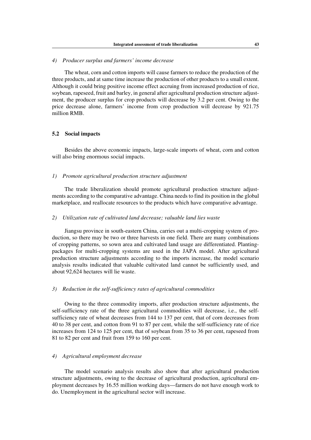# *4) Producer surplus and farmers' income decrease*

The wheat, corn and cotton imports will cause farmers to reduce the production of the three products, and at same time increase the production of other products to a small extent. Although it could bring positive income effect accruing from increased production of rice, soybean, rapeseed, fruit and barley, in general after agricultural production structure adjustment, the producer surplus for crop products will decrease by 3.2 per cent. Owing to the price decrease alone, farmers' income from crop production will decrease by 921.75 million RMB.

## **5.2 Social impacts**

Besides the above economic impacts, large-scale imports of wheat, corn and cotton will also bring enormous social impacts.

#### *1) Promote agricultural production structure adjustment*

The trade liberalization should promote agricultural production structure adjustments according to the comparative advantage. China needs to find its position in the global marketplace, and reallocate resources to the products which have comparative advantage.

#### *2) Utilization rate of cultivated land decrease; valuable land lies waste*

Jiangsu province in south-eastern China, carries out a multi-cropping system of production, so there may be two or three harvests in one field. There are many combinations of cropping patterns, so sown area and cultivated land usage are differentiated. Plantingpackages for multi-cropping systems are used in the JAPA model. After agricultural production structure adjustments according to the imports increase, the model scenario analysis results indicated that valuable cultivated land cannot be sufficiently used, and about 92,624 hectares will lie waste.

#### *3) Reduction in the self-sufficiency rates of agricultural commodities*

Owing to the three commodity imports, after production structure adjustments, the self-sufficiency rate of the three agricultural commodities will decrease, i.e., the selfsufficiency rate of wheat decreases from 144 to 137 per cent, that of corn decreases from 40 to 38 per cent, and cotton from 91 to 87 per cent, while the self-sufficiency rate of rice increases from 124 to 125 per cent, that of soybean from 35 to 36 per cent, rapeseed from 81 to 82 per cent and fruit from 159 to 160 per cent.

#### *4) Agricultural employment decrease*

The model scenario analysis results also show that after agricultural production structure adjustments, owing to the decrease of agricultural production, agricultural employment decreases by 16.55 million working days—farmers do not have enough work to do. Unemployment in the agricultural sector will increase.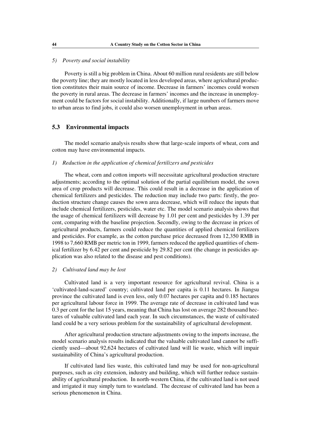## *5) Poverty and social instability*

Poverty is still a big problem in China. About 60 million rural residents are still below the poverty line; they are mostly located in less developed areas, where agricultural production constitutes their main source of income. Decrease in farmers' incomes could worsen the poverty in rural areas. The decrease in farmers' incomes and the increase in unemployment could be factors for social instability. Additionally, if large numbers of farmers move to urban areas to find jobs, it could also worsen unemployment in urban areas.

## **5.3 Environmental impacts**

The model scenario analysis results show that large-scale imports of wheat, corn and cotton may have environmental impacts.

# *1) Reduction in the application of chemical fertilizers and pesticides*

The wheat, corn and cotton imports will necessitate agricultural production structure adjustments; according to the optimal solution of the partial equilibrium model, the sown area of crop products will decrease. This could result in a decrease in the application of chemical fertilizers and pesticides. The reduction may include two parts: firstly, the production structure change causes the sown area decrease, which will reduce the inputs that include chemical fertilizers, pesticides, water etc. The model scenario analysis shows that the usage of chemical fertilizers will decrease by 1.01 per cent and pesticides by 1.39 per cent, comparing with the baseline projection. Secondly, owing to the decrease in prices of agricultural products, farmers could reduce the quantities of applied chemical fertilizers and pesticides. For example, as the cotton purchase price decreased from 12,350 RMB in 1998 to 7,660 RMB per metric ton in 1999, farmers reduced the applied quantities of chemical fertilizer by 6.42 per cent and pesticide by 29.82 per cent (the change in pesticides application was also related to the disease and pest conditions).

#### *2) Cultivated land may be lost*

Cultivated land is a very important resource for agricultural revival. China is a 'cultivated-land-scared' country; cultivated land per capita is 0.11 hectares. In Jiangsu province the cultivated land is even less, only 0.07 hectares per capita and 0.185 hectares per agricultural labour force in 1999. The average rate of decrease in cultivated land was 0.3 per cent for the last 15 years, meaning that China has lost on average 282 thousand hectares of valuable cultivated land each year. In such circumstances, the waste of cultivated land could be a very serious problem for the sustainability of agricultural development.

After agricultural production structure adjustments owing to the imports increase, the model scenario analysis results indicated that the valuable cultivated land cannot be sufficiently used—about 92,624 hectares of cultivated land will lie waste, which will impair sustainability of China's agricultural production.

If cultivated land lies waste, this cultivated land may be used for non-agricultural purposes, such as city extension, industry and building, which will further reduce sustainability of agricultural production. In north-western China, if the cultivated land is not used and irrigated it may simply turn to wasteland. The decrease of cultivated land has been a serious phenomenon in China.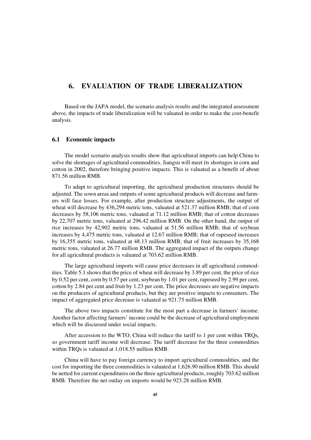# **6. EVALUATION OF TRADE LIBERALIZATION**

Based on the JAPA model, the scenario analysis results and the integrated assessment above, the impacts of trade liberalization will be valuated in order to make the cost-benefit analysis.

#### **6.1 Economic impacts**

The model scenario analysis results show that agricultural imports can help China to solve the shortages of agricultural commodities. Jiangsu will meet its shortages in corn and cotton in 2002, therefore bringing positive impacts. This is valuated as a benefit of about 871.56 million RMB.

To adapt to agricultural importing, the agricultural production structures should be adjusted. The sown areas and outputs of some agricultural products will decrease and farmers will face losses. For example, after production structure adjustments, the output of wheat will decrease by 436,294 metric tons, valuated at 521.37 million RMB; that of corn decreases by 58,106 metric tons, valuated at 71.12 million RMB; that of cotton decreases by 22,707 metric tons, valuated at 296.42 million RMB. On the other hand, the output of rice increases by 42,902 metric tons, valuated at 51.56 million RMB; that of soybean increases by 4,475 metric tons, valuated at 12.67 million RMB; that of rapeseed increases by 16,355 metric tons, valuated at 48.13 million RMB; that of fruit increases by 35,168 metric tons, valuated at 26.77 million RMB. The aggregated impact of the outputs change for all agricultural products is valuated at 703.62 million RMB.

The large agricultural imports will cause price decreases in all agricultural commodities. Table 5.1 shows that the price of wheat will decrease by 3.89 per cent, the price of rice by 0.52 per cent, corn by 0.57 per cent, soybean by 1.01 per cent, rapeseed by 2.99 per cent, cotton by 2.84 per cent and fruit by 1.23 per cent. The price decreases are negative impacts on the producers of agricultural products, but they are positive impacts to consumers. The impact of aggregated price decrease is valuated as 921.75 million RMB.

The above two impacts constitute for the most part a decrease in farmers' income. Another factor affecting farmers' income could be the decrease of agricultural employment which will be discussed under social impacts.

After accession to the WTO, China will reduce the tariff to 1 per cent within TRQs, so government tariff income will decrease. The tariff decrease for the three commodities within TRQs is valuated at 1,018.55 million RMB.

China will have to pay foreign currency to import agricultural commodities, and the cost for importing the three commodities is valuated at 1,626.90 million RMB. This should be netted for current expenditures on the three agricultural products, roughly 703.62 million RMB. Therefore the net outlay on imports would be 923.28 million RMB.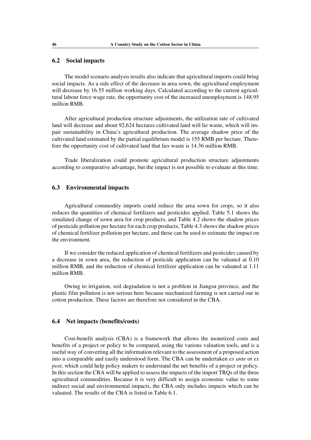# **6.2 Social impacts**

The model scenario analysis results also indicate that agricultural imports could bring social impacts. As a side effect of the decrease in area sown, the agricultural employment will decrease by 16.55 million working days. Calculated according to the current agricultural labour force wage rate, the opportunity cost of the increased unemployment is 148.95 million RMB.

After agricultural production structure adjustments, the utilization rate of cultivated land will decrease and about 92,624 hectares cultivated land will lie waste, which will impair sustainability in China's agricultural production. The average shadow price of the cultivated land estimated by the partial equilibrium model is 155 RMB per hectare. Therefore the opportunity cost of cultivated land that lies waste is 14.36 million RMB.

Trade liberalization could promote agricultural production structure adjustments according to comparative advantage, but the impact is not possible to evaluate at this time.

## **6.3 Environmental impacts**

Agricultural commodity imports could reduce the area sown for crops, so it also reduces the quantities of chemical fertilizers and pesticides applied. Table 5.1 shows the simulated change of sown area for crop products, and Table 4.2 shows the shadow prices of pesticide pollution per hectare for each crop products, Table 4.3 shows the shadow prices of chemical fertilizer pollution per hectare, and these can be used to estimate the impact on the environment.

If we consider the reduced application of chemical fertilizers and pesticides caused by a decrease in sown area, the reduction of pesticide application can be valuated at 0.10 million RMB, and the reduction of chemical fertilizer application can be valuated at 1.11 million RMB.

Owing to irrigation, soil degradation is not a problem in Jiangsu province, and the plastic film pollution is not serious here because mechanized farming is not carried out in cotton production. These factors are therefore not considered in the CBA.

#### **6.4 Net impacts (benefits/costs)**

Cost-benefit analysis (CBA) is a framework that allows the monetized costs and benefits of a project or policy to be compared, using the various valuation tools, and is a useful way of converting all the information relevant to the assessment of a proposed action into a comparable and easily understood form. The CBA can be undertaken *ex ante* or *ex post*, which could help policy makers to understand the net benefits of a project or policy. In this section the CBA will be applied to assess the impacts of the import TRQs of the three agricultural commodities. Because it is very difficult to assign economic value to some indirect social and environmental impacts, the CBA only includes impacts which can be valuated. The results of the CBA is listed in Table 6.1.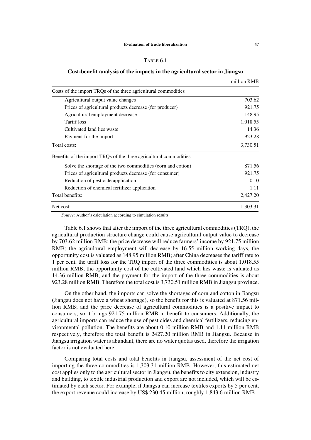# TABLE 6.1

#### **Cost-benefit analysis of the impacts in the agricultural sector in Jiangsu**

|                                                                   | шшил кин |
|-------------------------------------------------------------------|----------|
| Costs of the import TRQs of the three agricultural commodities    |          |
| Agricultural output value changes                                 | 703.62   |
| Prices of agricultural products decrease (for producer)           | 921.75   |
| Agricultural employment decrease                                  | 148.95   |
| Tariff loss                                                       | 1,018.55 |
| Cultivated land lies waste                                        | 14.36    |
| Payment for the import                                            | 923.28   |
| Total costs:                                                      | 3,730.51 |
| Benefits of the import TRQs of the three agricultural commodities |          |
| Solve the shortage of the two commodities (corn and cotton)       | 871.56   |
| Prices of agricultural products decrease (for consumer)           | 921.75   |
| Reduction of pesticide application                                | 0.10     |
| Reduction of chemical fertilizer application                      | 1.11     |
| Total benefits:                                                   | 2,427.20 |
| Net cost:                                                         | 1.303.31 |

*Source:* Author's calculation according to simulation results.

Table 6.1 shows that after the import of the three agricultural commodities (TRQ), the agricultural production structure change could cause agricultural output value to decrease by 703.62 million RMB; the price decrease will reduce farmers' income by 921.75 million RMB; the agricultural employment will decrease by 16.55 million working days, the opportunity cost is valuated as 148.95 million RMB; after China decreases the tariff rate to 1 per cent, the tariff loss for the TRQ import of the three commodities is about 1,018.55 million RMB; the opportunity cost of the cultivated land which lies waste is valuated as 14.36 million RMB, and the payment for the import of the three commodities is about 923.28 million RMB. Therefore the total cost is 3,730.51 million RMB in Jiangsu province.

On the other hand, the imports can solve the shortages of corn and cotton in Jiangsu (Jiangsu does not have a wheat shortage), so the benefit for this is valuated at 871.56 million RMB; and the price decrease of agricultural commodities is a positive impact to consumers, so it brings 921.75 million RMB in benefit to consumers. Additionally, the agricultural imports can reduce the use of pesticides and chemical fertilizers, reducing environmental pollution. The benefits are about 0.10 million RMB and 1.11 million RMB respectively, therefore the total benefit is 2427.20 million RMB in Jiangsu. Because in Jiangsu irrigation water is abundant, there are no water quotas used, therefore the irrigation factor is not evaluated here.

Comparing total costs and total benefits in Jiangsu, assessment of the net cost of importing the three commodities is 1,303.31 million RMB. However, this estimated net cost applies only to the agricultural sector in Jiangsu, the benefits to city extension, industry and building, to textile industrial production and export are not included, which will be estimated by each sector. For example, if Jiangsu can increase textiles exports by 5 per cent, the export revenue could increase by US\$ 230.45 million, roughly 1,843.6 million RMB.

million RMB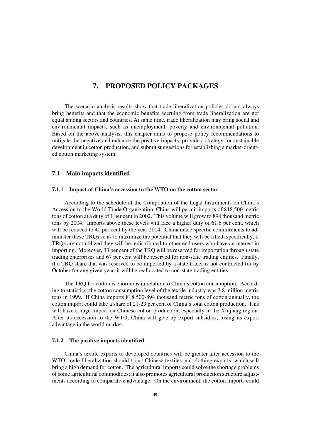# **7. PROPOSED POLICY PACKAGES**

The scenario analysis results show that trade liberalization policies do not always bring benefits and that the economic benefits accruing from trade liberalization are not equal among sectors and countries. At same time, trade liberalization may bring social and environmental impacts, such as unemployment, poverty and environmental pollution. Based on the above analysis, this chapter aims to propose policy recommendations to mitigate the negative and enhance the positive impacts, provide a strategy for sustainable development in cotton production, and submit suggestions for establishing a market-oriented cotton marketing system.

#### **7.1 Main impacts identified**

#### **7.1.1 Impact of China's accession to the WTO on the cotton sector**

According to the schedule of the Compilation of the Legal Instruments on China's Accession to the World Trade Organization, China will permit imports of 818,500 metric tons of cotton at a duty of 1 per cent in 2002. This volume will grow to 894 thousand metric tons by 2004. Imports above these levels will face a higher duty of 61.6 per cent, which will be reduced to 40 per cent by the year 2004. China made specific commitments to administer these TRQs so as to maximize the potential that they will be filled; specifically, if TRQs are not utilized they will be redistributed to other end users who have an interest in importing. Moreover, 33 per cent of the TRQ will be reserved for importation through state trading enterprises and 67 per cent will be reserved for non-state trading entities. Finally, if a TRQ share that was reserved to be imported by a state trader is not contracted for by October for any given year, it will be reallocated to non-state trading entities.

The TRQ for cotton is enormous in relation to China's cotton consumption. According to statistics, the cotton consumption level of the textile industry was 3.8 million metric tons in 1999. If China imports 818,500-894 thousand metric tons of cotton annually, the cotton import could take a share of 21-23 per cent of China's total cotton production. This will have a huge impact on Chinese cotton production, especially in the Xinjiang region. After its accession to the WTO, China will give up export subsidies, losing its export advantage in the world market.

## **7.1.2 The positive impacts identified**

China's textile exports to developed countries will be greater after accession to the WTO, trade liberalization should boost Chinese textiles and clothing exports, which will bring a high demand for cotton. The agricultural imports could solve the shortage problems of some agricultural commodities; it also promotes agricultural production structure adjustments according to comparative advantage. On the environment, the cotton imports could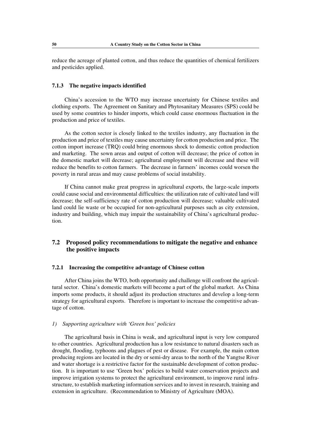reduce the acreage of planted cotton, and thus reduce the quantities of chemical fertilizers and pesticides applied.

#### **7.1.3 The negative impacts identified**

China's accession to the WTO may increase uncertainty for Chinese textiles and clothing exports. The Agreement on Sanitary and Phytosanitary Measures (SPS) could be used by some countries to hinder imports, which could cause enormous fluctuation in the production and price of textiles.

As the cotton sector is closely linked to the textiles industry, any fluctuation in the production and price of textiles may cause uncertainty for cotton production and price. The cotton import increase (TRQ) could bring enormous shock to domestic cotton production and marketing. The sown areas and output of cotton will decrease; the price of cotton in the domestic market will decrease; agricultural employment will decrease and these will reduce the benefits to cotton farmers. The decrease in farmers' incomes could worsen the poverty in rural areas and may cause problems of social instability.

If China cannot make great progress in agricultural exports, the large-scale imports could cause social and environmental difficulties: the utilization rate of cultivated land will decrease; the self-sufficiency rate of cotton production will decrease; valuable cultivated land could lie waste or be occupied for non-agricultural purposes such as city extension, industry and building, which may impair the sustainability of China's agricultural production.

# **7.2 Proposed policy recommendations to mitigate the negative and enhance the positive impacts**

## **7.2.1 Increasing the competitive advantage of Chinese cotton**

After China joins the WTO, both opportunity and challenge will confront the agricultural sector. China's domestic markets will become a part of the global market. As China imports some products, it should adjust its production structures and develop a long-term strategy for agricultural exports. Therefore is important to increase the competitive advantage of cotton.

#### *1) Supporting agriculture with 'Green box' policies*

The agricultural basis in China is weak, and agricultural input is very low compared to other countries. Agricultural production has a low resistance to natural disasters such as drought, flooding, typhoons and plagues of pest or disease. For example, the main cotton producing regions are located in the dry or semi-dry areas to the north of the Yangtse River and water shortage is a restrictive factor for the sustainable development of cotton production. It is important to use 'Green box' policies to build water conservation projects and improve irrigation systems to protect the agricultural environment, to improve rural infrastructure, to establish marketing information services and to invest in research, training and extension in agriculture. (Recommendation to Ministry of Agriculture (MOA).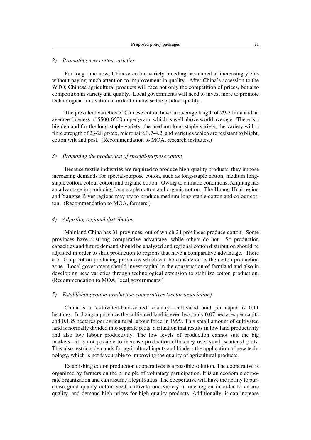## *2) Promoting new cotton varieties*

For long time now, Chinese cotton variety breeding has aimed at increasing yields without paying much attention to improvement in quality. After China's accession to the WTO, Chinese agricultural products will face not only the competition of prices, but also competition in variety and quality. Local governments will need to invest more to promote technological innovation in order to increase the product quality.

The prevalent varieties of Chinese cotton have an average length of 29-31mm and an average fineness of 5500-6500 m per gram, which is well above world average. There is a big demand for the long-staple variety, the medium long-staple variety, the variety with a fibre strength of 23-28 gf/tex, micronaire 3.7-4.2, and varieties which are resistant to blight, cotton wilt and pest. (Recommendation to MOA, research institutes.)

#### *3) Promoting the production of special-purpose cotton*

Because textile industries are required to produce high-quality products, they impose increasing demands for special-purpose cotton, such as long-staple cotton, medium longstaple cotton, colour cotton and organic cotton. Owing to climatic conditions, Xinjiang has an advantage in producing long-staple cotton and organic cotton. The Huang-Huai region and Yangtse River regions may try to produce medium long-staple cotton and colour cotton. (Recommendation to MOA, farmers.)

#### *4) Adjusting regional distribution*

Mainland China has 31 provinces, out of which 24 provinces produce cotton. Some provinces have a strong comparative advantage, while others do not. So production capacities and future demand should be analysed and regional cotton distribution should be adjusted in order to shift production to regions that have a comparative advantage. There are 10 top cotton producing provinces which can be considered as the cotton production zone. Local government should invest capital in the construction of farmland and also in developing new varieties through technological extension to stabilize cotton production. (Recommendation to MOA, local governments.)

#### *5) Establishing cotton-production cooperatives (sector association)*

China is a 'cultivated-land-scared' country—cultivated land per capita is 0.11 hectares. In Jiangsu province the cultivated land is even less, only 0.07 hectares per capita and 0.185 hectares per agricultural labour force in 1999. This small amount of cultivated land is normally divided into separate plots, a situation that results in low land productivity and also low labour productivity. The low levels of production cannot suit the big markets—it is not possible to increase production efficiency over small scattered plots. This also restricts demands for agricultural inputs and hinders the application of new technology, which is not favourable to improving the quality of agricultural products.

Establishing cotton production cooperatives is a possible solution. The cooperative is organized by farmers on the principle of voluntary participation. It is an economic corporate organization and can assume a legal status. The cooperative will have the ability to purchase good quality cotton seed, cultivate one variety in one region in order to ensure quality, and demand high prices for high quality products. Additionally, it can increase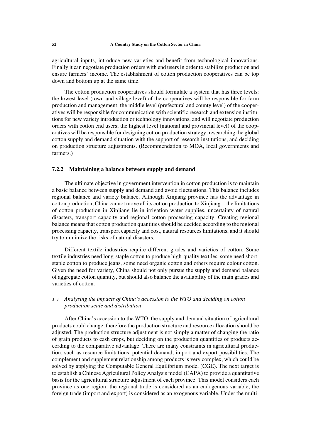agricultural inputs, introduce new varieties and benefit from technological innovations. Finally it can negotiate production orders with end users in order to stabilize production and ensure farmers' income. The establishment of cotton production cooperatives can be top down and bottom up at the same time.

The cotton production cooperatives should formulate a system that has three levels: the lowest level (town and village level) of the cooperatives will be responsible for farm production and management; the middle level (prefectural and county level) of the cooperatives will be responsible for communication with scientific research and extension institutions for new variety introduction or technology innovations, and will negotiate production orders with cotton end users; the highest level (national and provincial level) of the cooperatives will be responsible for designing cotton production strategy, researching the global cotton supply and demand situation with the support of research institutions, and deciding on production structure adjustments. (Recommendation to MOA, local governments and farmers.)

## **7.2.2 Maintaining a balance between supply and demand**

The ultimate objective in government intervention in cotton production is to maintain a basic balance between supply and demand and avoid fluctuations. This balance includes regional balance and variety balance. Although Xinjiang province has the advantage in cotton production, China cannot move all its cotton production to Xinjiang—the limitations of cotton production in Xinjiang lie in irrigation water supplies, uncertainty of natural disasters, transport capacity and regional cotton processing capacity. Creating regional balance means that cotton production quantities should be decided according to the regional processing capacity, transport capacity and cost, natural resources limitations, and it should try to minimize the risks of natural disasters.

Different textile industries require different grades and varieties of cotton. Some textile industries need long-staple cotton to produce high-quality textiles, some need shortstaple cotton to produce jeans, some need organic cotton and others require colour cotton. Given the need for variety, China should not only pursue the supply and demand balance of aggregate cotton quantity, but should also balance the availability of the main grades and varieties of cotton.

# *1 ) Analysing the impacts of China's accession to the WTO and deciding on cotton production scale and distribution*

After China's accession to the WTO, the supply and demand situation of agricultural products could change, therefore the production structure and resource allocation should be adjusted. The production structure adjustment is not simply a matter of changing the ratio of grain products to cash crops, but deciding on the production quantities of products according to the comparative advantage. There are many constraints in agricultural production, such as resource limitations, potential demand, import and export possibilities. The complement and supplement relationship among products is very complex, which could be solved by applying the Computable General Equilibrium model (CGE). The next target is to establish a Chinese Agricultural Policy Analysis model (CAPA) to provide a quantitative basis for the agricultural structure adjustment of each province. This model considers each province as one region, the regional trade is considered as an endogenous variable, the foreign trade (import and export) is considered as an exogenous variable. Under the multi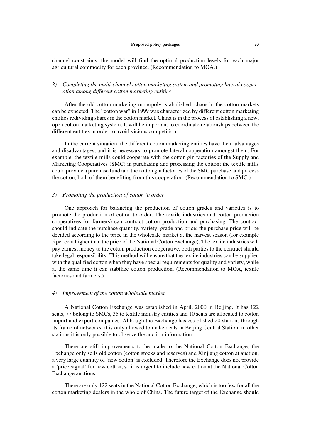channel constraints, the model will find the optimal production levels for each major agricultural commodity for each province. (Recommendation to MOA.)

# *2) Completing the multi-channel cotton marketing system and promoting lateral cooperation among different cotton marketing entities*

After the old cotton-marketing monopoly is abolished, chaos in the cotton markets can be expected. The "cotton war" in 1999 was characterized by different cotton marketing entities redividing shares in the cotton market. China is in the process of establishing a new, open cotton marketing system. It will be important to coordinate relationships between the different entities in order to avoid vicious competition.

In the current situation, the different cotton marketing entities have their advantages and disadvantages, and it is necessary to promote lateral cooperation amongst them. For example, the textile mills could cooperate with the cotton gin factories of the Supply and Marketing Cooperatives (SMC) in purchasing and processing the cotton; the textile mills could provide a purchase fund and the cotton gin factories of the SMC purchase and process the cotton, both of them benefiting from this cooperation. (Recommendation to SMC.)

#### *3) Promoting the production of cotton to order*

One approach for balancing the production of cotton grades and varieties is to promote the production of cotton to order. The textile industries and cotton production cooperatives (or farmers) can contract cotton production and purchasing. The contract should indicate the purchase quantity, variety, grade and price; the purchase price will be decided according to the price in the wholesale market at the harvest season (for example 5 per cent higher than the price of the National Cotton Exchange). The textile industries will pay earnest money to the cotton production cooperative, both parties to the contract should take legal responsibility. This method will ensure that the textile industries can be supplied with the qualified cotton when they have special requirements for quality and variety, while at the same time it can stabilize cotton production. (Recommendation to MOA, textile factories and farmers.)

#### *4) Improvement of the cotton wholesale market*

A National Cotton Exchange was established in April, 2000 in Beijing. It has 122 seats, 77 belong to SMCs, 35 to textile industry entities and 10 seats are allocated to cotton import and export companies. Although the Exchange has established 20 stations through its frame of networks, it is only allowed to make deals in Beijing Central Station, in other stations it is only possible to observe the auction information.

There are still improvements to be made to the National Cotton Exchange; the Exchange only sells old cotton (cotton stocks and reserves) and Xinjiang cotton at auction, a very large quantity of 'new cotton' is excluded. Therefore the Exchange does not provide a 'price signal' for new cotton, so it is urgent to include new cotton at the National Cotton Exchange auctions.

There are only 122 seats in the National Cotton Exchange, which is too few for all the cotton marketing dealers in the whole of China. The future target of the Exchange should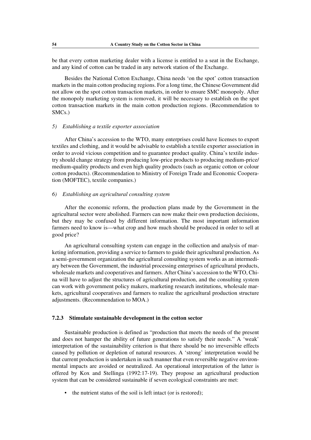be that every cotton marketing dealer with a license is entitled to a seat in the Exchange, and any kind of cotton can be traded in any network station of the Exchange.

Besides the National Cotton Exchange, China needs 'on the spot' cotton transaction markets in the main cotton producing regions. For a long time, the Chinese Government did not allow on the spot cotton transaction markets, in order to ensure SMC monopoly. After the monopoly marketing system is removed, it will be necessary to establish on the spot cotton transaction markets in the main cotton production regions. (Recommendation to SMCs.)

#### *5) Establishing a textile exporter association*

After China's accession to the WTO, many enterprises could have licenses to export textiles and clothing, and it would be advisable to establish a textile exporter association in order to avoid vicious competition and to guarantee product quality. China's textile industry should change strategy from producing low-price products to producing medium-price/ medium-quality products and even high quality products (such as organic cotton or colour cotton products). (Recommendation to Ministry of Foreign Trade and Economic Cooperation (MOFTEC), textile companies.)

#### *6) Establishing an agricultural consulting system*

After the economic reform, the production plans made by the Government in the agricultural sector were abolished. Farmers can now make their own production decisions, but they may be confused by different information. The most important information farmers need to know is—what crop and how much should be produced in order to sell at good price?

An agricultural consulting system can engage in the collection and analysis of marketing information, providing a service to farmers to guide their agricultural production. As a semi-government organization the agricultural consulting system works as an intermediary between the Government, the industrial processing enterprises of agricultural products, wholesale markets and cooperatives and farmers. After China's accession to the WTO, China will have to adjust the structures of agricultural production, and the consulting system can work with government policy makers, marketing research institutions, wholesale markets, agricultural cooperatives and farmers to realize the agricultural production structure adjustments. (Recommendation to MOA.)

#### **7.2.3 Stimulate sustainable development in the cotton sector**

Sustainable production is defined as "production that meets the needs of the present and does not hamper the ability of future generations to satisfy their needs." A 'weak' interpretation of the sustainability criterion is that there should be no irreversible effects caused by pollution or depletion of natural resources. A 'strong' interpretation would be that current production is undertaken in such manner that even reversible negative environmental impacts are avoided or neutralized. An operational interpretation of the latter is offered by Kox and Stellinga (1992:17-19). They propose an agricultural production system that can be considered sustainable if seven ecological constraints are met:

• the nutrient status of the soil is left intact (or is restored);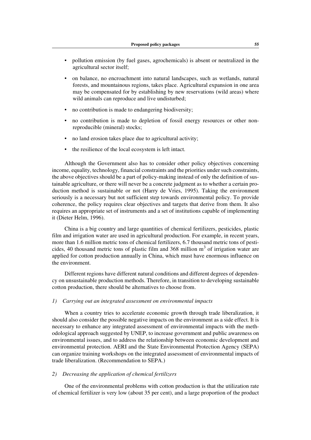- pollution emission (by fuel gases, agrochemicals) is absent or neutralized in the agricultural sector itself;
- on balance, no encroachment into natural landscapes, such as wetlands, natural forests, and mountainous regions, takes place. Agricultural expansion in one area may be compensated for by establishing by new reservations (wild areas) where wild animals can reproduce and live undisturbed;
- no contribution is made to endangering biodiversity;
- no contribution is made to depletion of fossil energy resources or other nonreproducible (mineral) stocks;
- no land erosion takes place due to agricultural activity;
- the resilience of the local ecosystem is left intact.

Although the Government also has to consider other policy objectives concerning income, equality, technology, financial constraints and the priorities under such constraints, the above objectives should be a part of policy-making instead of only the definition of sustainable agriculture, or there will never be a concrete judgment as to whether a certain production method is sustainable or not (Harry de Vries, 1995). Taking the environment seriously is a necessary but not sufficient step towards environmental policy. To provide coherence, the policy requires clear objectives and targets that derive from them. It also requires an appropriate set of instruments and a set of institutions capable of implementing it (Dieter Helm, 1996).

China is a big country and large quantities of chemical fertilizers, pesticides, plastic film and irrigation water are used in agricultural production. For example, in recent years, more than 1.6 million metric tons of chemical fertilizers, 6.7 thousand metric tons of pesticides, 40 thousand metric tons of plastic film and 368 million  $m<sup>3</sup>$  of irrigation water are applied for cotton production annually in China, which must have enormous influence on the environment.

Different regions have different natural conditions and different degrees of dependency on unsustainable production methods. Therefore, in transition to developing sustainable cotton production, there should be alternatives to choose from.

## *1) Carrying out an integrated assessment on environmental impacts*

When a country tries to accelerate economic growth through trade liberalization, it should also consider the possible negative impacts on the environment as a side effect. It is necessary to enhance any integrated assessment of environmental impacts with the methodological approach suggested by UNEP, to increase government and public awareness on environmental issues, and to address the relationship between economic development and environmental protection. AERI and the State Environmental Protection Agency (SEPA) can organize training workshops on the integrated assessment of environmental impacts of trade liberalization. (Recommendation to SEPA.)

# *2) Decreasing the application of chemical fertilizers*

One of the environmental problems with cotton production is that the utilization rate of chemical fertilizer is very low (about 35 per cent), and a large proportion of the product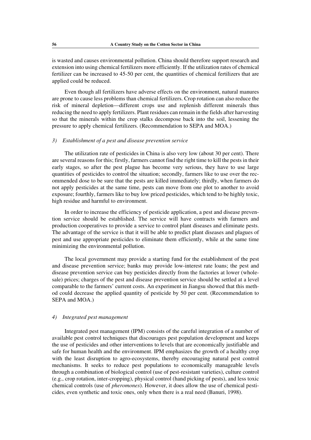is wasted and causes environmental pollution. China should therefore support research and extension into using chemical fertilizers more efficiently. If the utilization rates of chemical fertilizer can be increased to 45-50 per cent, the quantities of chemical fertilizers that are applied could be reduced.

Even though all fertilizers have adverse effects on the environment, natural manures are prone to cause less problems than chemical fertilizers. Crop rotation can also reduce the risk of mineral depletion—different crops use and replenish different minerals thus reducing the need to apply fertilizers. Plant residues can remain in the fields after harvesting so that the minerals within the crop stalks decompose back into the soil, lessening the pressure to apply chemical fertilizers. (Recommendation to SEPA and MOA.)

#### *3) Establishment of a pest and disease prevention service*

The utilization rate of pesticides in China is also very low (about 30 per cent). There are several reasons for this; firstly, farmers cannot find the right time to kill the pests in their early stages, so after the pest plague has become very serious, they have to use large quantities of pesticides to control the situation; secondly, farmers like to use over the recommended dose to be sure that the pests are killed immediately; thirdly, when farmers do not apply pesticides at the same time, pests can move from one plot to another to avoid exposure; fourthly, farmers like to buy low priced pesticides, which tend to be highly toxic, high residue and harmful to environment.

In order to increase the efficiency of pesticide application, a pest and disease prevention service should be established. The service will have contracts with farmers and production cooperatives to provide a service to control plant diseases and eliminate pests. The advantage of the service is that it will be able to predict plant diseases and plagues of pest and use appropriate pesticides to eliminate them efficiently, while at the same time minimizing the environmental pollution.

The local government may provide a starting fund for the establishment of the pest and disease prevention service; banks may provide low-interest rate loans; the pest and disease prevention service can buy pesticides directly from the factories at lower (wholesale) prices; charges of the pest and disease prevention service should be settled at a level comparable to the farmers' current costs. An experiment in Jiangsu showed that this method could decrease the applied quantity of pesticide by 50 per cent. (Recommendation to SEPA and MOA.)

#### *4) Integrated pest management*

Integrated pest management (IPM) consists of the careful integration of a number of available pest control techniques that discourages pest population development and keeps the use of pesticides and other interventions to levels that are economically justifiable and safe for human health and the environment. IPM emphasizes the growth of a healthy crop with the least disruption to agro-ecosystems, thereby encouraging natural pest control mechanisms. It seeks to reduce pest populations to economically manageable levels through a combination of biological control (use of pest-resistant varieties), culture control (e.g., crop rotation, inter-cropping), physical control (hand picking of pests), and less toxic chemical controls (use of *pheromones*). However, it does allow the use of chemical pesticides, even synthetic and toxic ones, only when there is a real need (Banuri, 1998).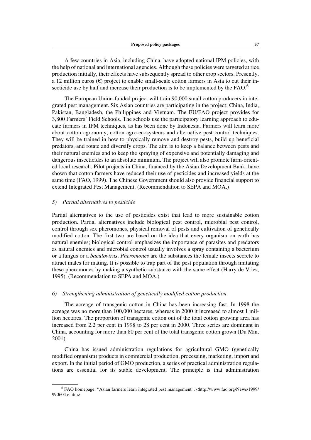A few countries in Asia, including China, have adopted national IPM policies, with the help of national and international agencies. Although these policies were targeted at rice production initially, their effects have subsequently spread to other crop sectors. Presently, a 12 million euros  $(\epsilon)$  project to enable small-scale cotton farmers in Asia to cut their insecticide use by half and increase their production is to be implemented by the FAO.<sup>6</sup>

The European Union-funded project will train 90,000 small cotton producers in integrated pest management. Six Asian countries are participating in the project; China, India, Pakistan, Bangladesh, the Philippines and Vietnam. The EU/FAO project provides for 3,800 Farmers' Field Schools. The schools use the participatory learning approach to educate farmers in IPM techniques, as has been done by Indonesia. Farmers will learn more about cotton agronomy, cotton agro-ecosystems and alternative pest control techniques. They will be trained in how to physically remove and destroy pests, build up beneficial predators, and rotate and diversify crops. The aim is to keep a balance between pests and their natural enemies and to keep the spraying of expensive and potentially damaging and dangerous insecticides to an absolute minimum. The project will also promote farm-oriented local research. Pilot projects in China, financed by the Asian Development Bank, have shown that cotton farmers have reduced their use of pesticides and increased yields at the same time (FAO, 1999). The Chinese Government should also provide financial support to extend Integrated Pest Management. (Recommendation to SEPA and MOA.)

## *5) Partial alternatives to pesticide*

Partial alternatives to the use of pesticides exist that lead to more sustainable cotton production. Partial alternatives include biological pest control, microbial pest control, control through sex pheromones, physical removal of pests and cultivation of genetically modified cotton. The first two are based on the idea that every organism on earth has natural enemies; biological control emphasizes the importance of parasites and predators as natural enemies and microbial control usually involves a spray containing a bacterium or a fungus or a *baculovirus*. *Pheromones* are the substances the female insects secrete to attract males for mating. It is possible to trap part of the pest population through imitating these pheromones by making a synthetic substance with the same effect (Harry de Vries, 1995). (Recommendation to SEPA and MOA.)

## *6) Strengthening administration of genetically modified cotton production*

The acreage of transgenic cotton in China has been increasing fast. In 1998 the acreage was no more than 100,000 hectares, whereas in 2000 it increased to almost 1 million hectares. The proportion of transgenic cotton out of the total cotton growing area has increased from 2.2 per cent in 1998 to 28 per cent in 2000. Three series are dominant in China, accounting for more than 80 per cent of the total transgenic cotton grown (Du Min, 2001).

China has issued administration regulations for agricultural GMO (genetically modified organism) products in commercial production, processing, marketing, import and export. In the initial period of GMO production, a series of practical administration regulations are essential for its stable development. The principle is that administration

<sup>————–—</sup> <sup>6</sup> FAO homepage, "Asian farmers learn integrated pest management", <http://www.fao.org/News/1999/ 990604 e.htm>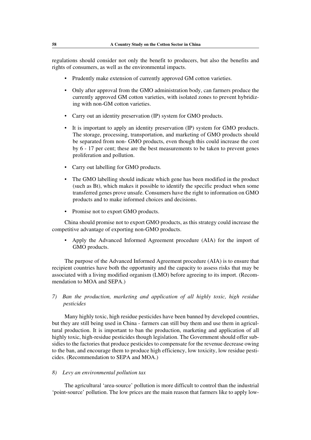regulations should consider not only the benefit to producers, but also the benefits and rights of consumers, as well as the environmental impacts.

- Prudently make extension of currently approved GM cotton varieties.
- Only after approval from the GMO administration body, can farmers produce the currently approved GM cotton varieties, with isolated zones to prevent hybridizing with non-GM cotton varieties.
- Carry out an identity preservation (IP) system for GMO products.
- It is important to apply an identity preservation (IP) system for GMO products. The storage, processing, transportation, and marketing of GMO products should be separated from non- GMO products, even though this could increase the cost by 6 - 17 per cent; these are the best measurements to be taken to prevent genes proliferation and pollution.
- Carry out labelling for GMO products.
- The GMO labelling should indicate which gene has been modified in the product (such as Bt), which makes it possible to identify the specific product when some transferred genes prove unsafe. Consumers have the right to information on GMO products and to make informed choices and decisions.
- Promise not to export GMO products.

China should promise not to export GMO products, as this strategy could increase the competitive advantage of exporting non-GMO products.

• Apply the Advanced Informed Agreement procedure (AIA) for the import of GMO products.

The purpose of the Advanced Informed Agreement procedure (AIA) is to ensure that recipient countries have both the opportunity and the capacity to assess risks that may be associated with a living modified organism (LMO) before agreeing to its import. (Recommendation to MOA and SEPA.)

*7) Ban the production, marketing and application of all highly toxic, high residue pesticides*

Many highly toxic, high residue pesticides have been banned by developed countries, but they are still being used in China - farmers can still buy them and use them in agricultural production. It is important to ban the production, marketing and application of all highly toxic, high-residue pesticides though legislation. The Government should offer subsidies to the factories that produce pesticides to compensate for the revenue decrease owing to the ban, and encourage them to produce high efficiency, low toxicity, low residue pesticides. (Recommendation to SEPA and MOA.)

## *8) Levy an environmental pollution tax*

The agricultural 'area-source' pollution is more difficult to control than the industrial 'point-source' pollution. The low prices are the main reason that farmers like to apply low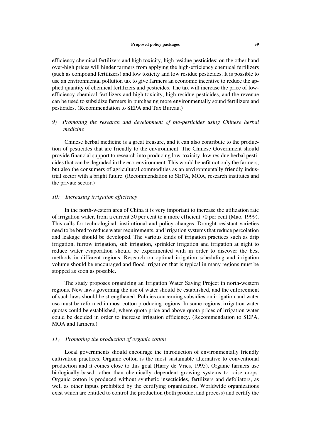efficiency chemical fertilizers and high toxicity, high residue pesticides; on the other hand over-high prices will hinder farmers from applying the high-efficiency chemical fertilizers (such as compound fertilizers) and low toxicity and low residue pesticides. It is possible to use an environmental pollution tax to give farmers an economic incentive to reduce the applied quantity of chemical fertilizers and pesticides. The tax will increase the price of lowefficiency chemical fertilizers and high toxicity, high residue pesticides, and the revenue can be used to subsidize farmers in purchasing more environmentally sound fertilizers and pesticides. (Recommendation to SEPA and Tax Bureau.)

## *9) Promoting the research and development of bio-pesticides using Chinese herbal medicine*

Chinese herbal medicine is a great treasure, and it can also contribute to the production of pesticides that are friendly to the environment. The Chinese Government should provide financial support to research into producing low-toxicity, low residue herbal pesticides that can be degraded in the eco-environment. This would benefit not only the farmers, but also the consumers of agricultural commodities as an environmentally friendly industrial sector with a bright future. (Recommendation to SEPA, MOA, research institutes and the private sector.)

## *10) Increasing irrigation efficiency*

In the north-western area of China it is very important to increase the utilization rate of irrigation water, from a current 30 per cent to a more efficient 70 per cent (Mao, 1999). This calls for technological, institutional and policy changes. Drought-resistant varieties need to be bred to reduce water requirements, and irrigation systems that reduce percolation and leakage should be developed. The various kinds of irrigation practices such as drip irrigation, furrow irrigation, sub irrigation, sprinkler irrigation and irrigation at night to reduce water evaporation should be experimented with in order to discover the best methods in different regions. Research on optimal irrigation scheduling and irrigation volume should be encouraged and flood irrigation that is typical in many regions must be stopped as soon as possible.

The study proposes organizing an Irrigation Water Saving Project in north-western regions. New laws governing the use of water should be established, and the enforcement of such laws should be strengthened. Policies concerning subsidies on irrigation and water use must be reformed in most cotton producing regions. In some regions, irrigation water quotas could be established, where quota price and above-quota prices of irrigation water could be decided in order to increase irrigation efficiency. (Recommendation to SEPA, MOA and farmers.)

### *11) Promoting the production of organic cotton*

Local governments should encourage the introduction of environmentally friendly cultivation practices. Organic cotton is the most sustainable alternative to conventional production and it comes close to this goal (Harry de Vries, 1995). Organic farmers use biologically-based rather than chemically dependent growing systems to raise crops. Organic cotton is produced without synthetic insecticides, fertilizers and defoliators, as well as other inputs prohibited by the certifying organization. Worldwide organizations exist which are entitled to control the production (both product and process) and certify the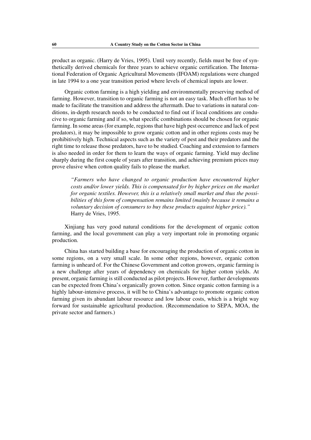product as organic. (Harry de Vries, 1995). Until very recently, fields must be free of synthetically derived chemicals for three years to achieve organic certification. The International Federation of Organic Agricultural Movements (IFOAM) regulations were changed in late 1994 to a one year transition period where levels of chemical inputs are lower.

Organic cotton farming is a high yielding and environmentally preserving method of farming. However, transition to organic farming is not an easy task. Much effort has to be made to facilitate the transition and address the aftermath. Due to variations in natural conditions, in-depth research needs to be conducted to find out if local conditions are conducive to organic farming and if so, what specific combinations should be chosen for organic farming. In some areas (for example, regions that have high pest occurrence and lack of pest predators), it may be impossible to grow organic cotton and in other regions costs may be prohibitively high. Technical aspects such as the variety of pest and their predators and the right time to release those predators, have to be studied. Coaching and extension to farmers is also needed in order for them to learn the ways of organic farming. Yield may decline sharply during the first couple of years after transition, and achieving premium prices may prove elusive when cotton quality fails to please the market.

*"Farmers who have changed to organic production have encountered higher costs and/or lower yields. This is compensated for by higher prices on the market for organic textiles. However, this is a relatively small market and thus the possibilities of this form of compensation remains limited (mainly because it remains a voluntary decision of consumers to buy these products against higher price)."* Harry de Vries, 1995.

Xinjiang has very good natural conditions for the development of organic cotton farming, and the local government can play a very important role in promoting organic production.

China has started building a base for encouraging the production of organic cotton in some regions, on a very small scale. In some other regions, however, organic cotton farming is unheard of. For the Chinese Government and cotton growers, organic farming is a new challenge after years of dependency on chemicals for higher cotton yields. At present, organic farming is still conducted as pilot projects. However, further developments can be expected from China's organically grown cotton. Since organic cotton farming is a highly labour-intensive process, it will be to China's advantage to promote organic cotton farming given its abundant labour resource and low labour costs, which is a bright way forward for sustainable agricultural production. (Recommendation to SEPA, MOA, the private sector and farmers.)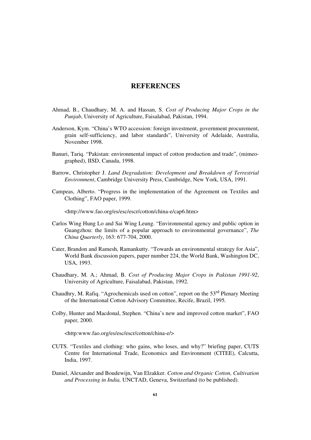# **REFERENCES**

- Ahmad, B., Chaudhary, M. A. and Hassan, S. *Cost of Producing Major Crops in the Punjab*, University of Agriculture, Faisalabad, Pakistan, 1994.
- Anderson, Kym. "China's WTO accession: foreign investment, government procurement, grain self-sufficiency, and labor standards", University of Adelaide, Australia, November 1998.
- Banuri, Tariq. "Pakistan: environmental impact of cotton production and trade", (mimeographed), IISD, Canada, 1998.
- Barrow, Christopher J. *Land Degradation: Development and Breakdown of Terrestrial Environment*, Cambridge University Press, Cambridge, New York, USA, 1991.
- Campeas, Alberto. "Progress in the implementation of the Agreement on Textiles and Clothing", FAO paper, 1999.

<http://www.fao.org/es/esc/escr/cotton/china-e/cap6.htm>

- Carlos Wing Hung Lo and Sai Wing Leung. "Environmental agency and public option in Guangzhou: the limits of a popular approach to environmental governance", *The China Quarterly*, 163: 677-704, 2000.
- Cater, Brandon and Ramesh, Ramankutty. "Towards an environmental strategy for Asia", World Bank discussion papers, paper number 224, the World Bank, Washington DC, USA, 1993.
- Chaudhary, M. A.; Ahmad, B. *Cost of Producing Major Crops in Pakistan 1991-92*, University of Agriculture, Faisalabad, Pakistan, 1992.
- Chaudhry, M. Rafiq. "Agrochemicals used on cotton", report on the 53<sup>rd</sup> Plenary Meeting of the International Cotton Advisory Committee, Recife, Brazil, 1995.
- Colby, Hunter and Macdonal, Stephen. "China's new and improved cotton market", FAO paper, 2000.

<http:www.fao.org/es/esc/escr/cotton/china-e/>

- CUTS. "Textiles and clothing: who gains, who loses, and why?" briefing paper, CUTS Centre for International Trade, Economics and Environment (CITEE), Calcutta, India, 1997.
- Daniel, Alexander and Boudewijn, Van Elzakker. *Cotton and Organic Cotton, Cultivation and Processing in India,* UNCTAD, Geneva, Switzerland (to be published).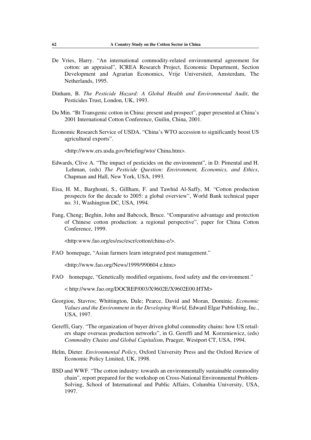- De Vries, Harry. "An international commodity-related environmental agreement for cotton: an appraisal", ICREA Research Project, Economic Department, Section Development and Agrarian Economics, Vrije Universiteit, Amsterdam, The Netherlands, 1995.
- Dinham, B. *The Pesticide Hazard: A Global Health and Environmental Audit*, the Pesticides Trust, London, UK, 1993.
- Du Min. "Bt Transgenic cotton in China: present and prospect", paper presented at China's 2001 International Cotton Conference, Guilin, China, 2001.
- Economic Research Service of USDA. "China's WTO accession to significantly boost US agricultural exports".

<http://www.ers.usda.gov/briefing/wto/ China.htm>.

- Edwards, Clive A. "The impact of pesticides on the environment", in D. Pimental and H. Lehman, (eds) *The Pesticide Question: Environment, Economics, and Ethics*, Chapman and Hall, New York, USA, 1993.
- Eisa, H. M., Barghouti, S., Gillham, F. and Tawhid Al-Saffy, M. "Cotton production prospects for the decade to 2005: a global overview", World Bank technical paper no. 31, Washington DC, USA, 1994.
- Fang, Cheng; Beghin, John and Babcock, Bruce. "Comparative advantage and protection of Chinese cotton production: a regional perspective", paper for China Cotton Conference, 1999.

<http:www.fao.org/es/esc/escr/cotton/china-e/>.

FAO homepage, "Asian farmers learn integrated pest management."

<http://www.fao.org/News/1999/990604 e.htm>

FAO homepage, "Genetically modified organisms, food safety and the environment."

< http://www.fao.org/DOCREP/003/X9602E/X9602E00.HTM>

- Georgiou, Stavros; Whittington, Dale; Pearce, David and Moran, Dominic. *Economic Values and the Environment in the Developing World,* Edward Elgar Publishing, Inc., USA, 1997.
- Gereffi, Gary. "The organization of buyer driven global commodity chains: how US retailers shape overseas production networks", in G. Gereffi and M. Korzeniewicz, (eds) *Commodity Chains and Global Capitalism*, Praeger, Westport CT, USA, 1994.
- Helm, Dieter. *Environmental Policy*, Oxford University Press and the Oxford Review of Economic Policy Limited, UK, 1998.
- IISD and WWF. "The cotton industry: towards an environmentally sustainable commodity chain", report prepared for the workshop on Cross-National Environmental Problem-Solving, School of International and Public Affairs, Columbia University, USA, 1997.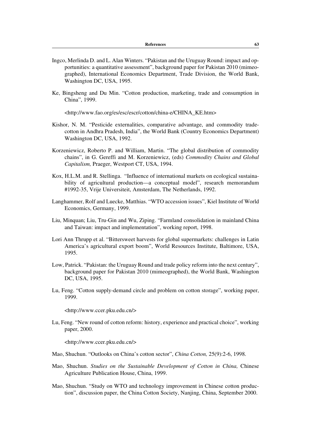- Ingco, Merlinda D. and L. Alan Winters. "Pakistan and the Uruguay Round: impact and opportunities: a quantitative assessment", background paper for Pakistan 2010 (mimeographed), International Economics Department, Trade Division, the World Bank, Washington DC, USA, 1995.
- Ke, Bingsheng and Du Min. "Cotton production, marketing, trade and consumption in China", 1999.

<http://www.fao.org/es/esc/escr/cotton/china-e/CHINA\_KE.htm>

- Kishor, N. M. "Pesticide externalities, comparative advantage, and commodity tradecotton in Andhra Pradesh, India", the World Bank (Country Economics Department) Washington DC, USA, 1992.
- Korzeniewicz, Roberto P. and William, Martin. "The global distribution of commodity chains", in G. Gereffi and M. Korzeniewicz, (eds) *Commodity Chains and Global Capitalism,* Praeger, Westport CT, USA, 1994.
- Kox, H.L.M. and R. Stellinga. "Influence of international markets on ecological sustainability of agricultural production—a conceptual model", research memorandum #1992-35, Vrije Universiteit, Amsterdam, The Netherlands, 1992.
- Langhammer, Rolf and Luecke, Matthias. "WTO accession issues", Kiel Institute of World Economics, Germany, 1999.
- Liu, Minquan; Liu, Tru-Gin and Wu, Ziping. "Farmland consolidation in mainland China and Taiwan: impact and implementation", working report, 1998.
- Lori Ann Thrupp et al. "Bittersweet harvests for global supermarkets: challenges in Latin America's agricultural export boom", World Resources Institute, Baltimore, USA, 1995.
- Low, Patrick. "Pakistan: the Uruguay Round and trade policy reform into the next century", background paper for Pakistan 2010 (mimeographed), the World Bank, Washington DC, USA, 1995.
- Lu, Feng. "Cotton supply-demand circle and problem on cotton storage", working paper, 1999.

<http://www.ccer.pku.edu.cn/>

Lu, Feng. "New round of cotton reform: history, experience and practical choice", working paper, 2000.

<http://www.ccer.pku.edu.cn/>

- Mao, Shuchun. "Outlooks on China's cotton sector", *China Cotton,* 25(9):2-6, 1998.
- Mao, Shuchun. *Studies on the Sustainable Development of Cotton in China,* Chinese Agriculture Publication House, China, 1999.
- Mao, Shuchun. "Study on WTO and technology improvement in Chinese cotton production", discussion paper, the China Cotton Society, Nanjing, China, September 2000.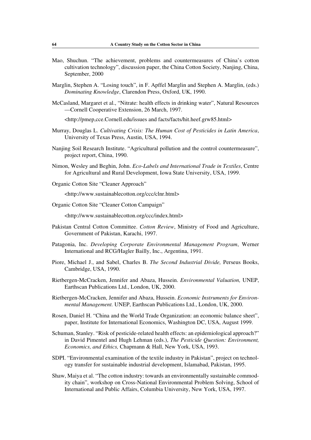- Mao, Shuchun. "The achievement, problems and countermeasures of China's cotton cultivation technology", discussion paper, the China Cotton Society, Nanjing, China, September, 2000
- Marglin, Stephen A. "Losing touch", in F. Apffel Marglin and Stephen A. Marglin, (eds.) *Dominating Knowledge*, Clarendon Press, Oxford, UK, 1990.
- McCasland, Margaret et al., "Nitrate: health effects in drinking water", Natural Resources —Cornell Cooperative Extension, 26 March, 1997.

<http://pmep,cce.Cornell.edu/issues and facts/facts/hit.heef.grw85.html>

- Murray, Douglas L. *Cultivating Crisis: The Human Cost of Pesticides in Latin America*, University of Texas Press, Austin, USA, 1994.
- Nanjing Soil Research Institute. "Agricultural pollution and the control countermeasure", project report, China, 1990.
- Nimon, Wesley and Beghin, John. *Eco-Labels and International Trade in Textiles*, Centre for Agricultural and Rural Development, Iowa State University, USA, 1999.
- Organic Cotton Site "Cleaner Approach"

<http://www.sustainablecotton.org/ccc/clnr.html>

Organic Cotton Site "Cleaner Cotton Campaign"

<http://www.sustainablecotton.org/ccc/index.html>

- Pakistan Central Cotton Committee. *Cotton Review*, Ministry of Food and Agriculture, Government of Pakistan, Karachi, 1997.
- Patagonia, Inc. *Developing Corporate Environmental Management Program*, Werner International and RCG/Hagler Bailly, Inc., Argentina, 1991.
- Piore, Michael J., and Sabel, Charles B. *The Second Industrial Divide,* Perseus Books, Cambridge, USA, 1990.
- Rietbergen-McCracken, Jennifer and Abaza, Hussein. *Environmental Valuation,* UNEP, Earthscan Publications Ltd., London, UK, 2000.
- Rietbergen-McCracken, Jennifer and Abaza, Hussein. *Economic Instruments for Environmental Management.* UNEP, Earthscan Publications Ltd., London, UK, 2000.
- Rosen, Daniel H. "China and the World Trade Organization: an economic balance sheet", paper, Institute for International Economics, Washington DC, USA, August 1999.
- Schuman, Stanley. "Risk of pesticide-related health effects: an epidemiological approach?" in David Pimentel and Hugh Lehman (eds.), *The Pesticide Question: Environment, Economics, and Ethics,* Chapmann & Hall, New York, USA, 1993.
- SDPI. "Environmental examination of the textile industry in Pakistan", project on technology transfer for sustainable industrial development, Islamabad, Pakistan, 1995.
- Shaw, Maiya et al. "The cotton industry: towards an environmentally sustainable commodity chain", workshop on Cross-National Environmental Problem Solving, School of International and Public Affairs, Columbia University, New York, USA, 1997.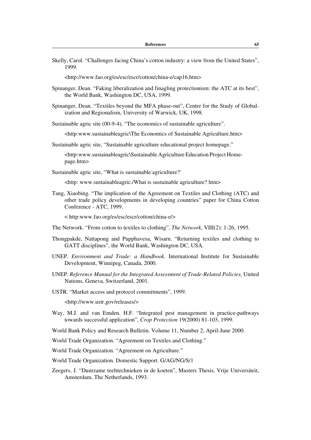| Skelly, Carol. "Challenges facing China's cotton industry: a view from the United States",<br>1999. |
|-----------------------------------------------------------------------------------------------------|
| http://www.fao.org/es/esc/escr/cotton/china-e/cap16.htm>                                            |

- Spinanger, Dean. "Faking liberalization and finagling protectionism: the ATC at its best", the World Bank, Washington DC, USA, 1999.
- Spinanger, Dean. "Textiles beyond the MFA phase-out", Centre for the Study of Globalization and Regionalism, University of Warwick, UK, 1998.

Sustainable agric site (00-9-4), "The economics of sustainable agriculture".

<http:www.sustainableagric\The Economics of Sustainable Agriculture.htm>

Sustainable agric site, "Sustainable agriculture educational project homepage."

<http:www.sustainableagric\Sustainable Agriculture Education Project Homepage.htm>

Sustainable agric site, "What is sustainable agriculture?'

<http: www.sustainableagric./What is sustainable agriculture? htm>

Tang, Xiaobing. "The implication of the Agreement on Textiles and Clothing (ATC) and other trade policy developments in developing countries" paper for China Cotton Conference - ATC, 1999.

< http:www.fao.org/es/esc/escr/cotton/china-e/>

- The Network. "From cotton to textiles to clothing", *The Network*, VIII(2): 1-26, 1995.
- Thongpakde, Nattapong and Pupphavesa, Wisarn. "Returning textiles and clothing to GATT disciplines", the World Bank, Washington DC, USA.
- UNEP. *Environment and Trade: a Handbook*. International Institute for Sustainable Development, Winnipeg, Canada, 2000.
- UNEP. *Reference Manual for the Integrated Assessment of Trade-Related Policies,* United Nations, Geneva, Switzerland, 2001.
- USTR. "Market access and protocol commitments", 1999.

<http://www.ustr.gov/releases/>

- Way, M.J. and van Emden, H.F. "Integrated pest management in practice-pathways towards successful application", *Crop Protection* 19(2000) 81-103, 1999.
- World Bank Policy and Research Bulletin. Volume 11, Number 2, April-June 2000.
- World Trade Organization. "Agreement on Textiles and Clothing."

World Trade Organization. "Agreement on Agriculture."

- World Trade Organization. Domestic Support. G/AG/NG/S/1
- Zeegers, J. "Duurzame teelttechnieken in de koeten", Masters Thesis, Vrije Universiteit, Amsterdam, The Netherlands, 1993.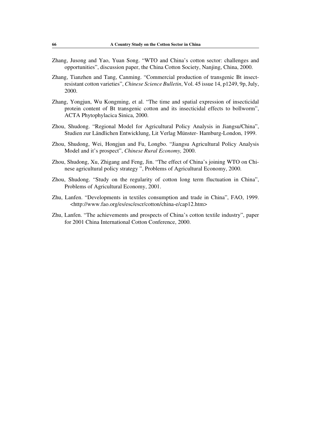- Zhang, Jusong and Yao, Yuan Song. "WTO and China's cotton sector: challenges and opportunities", discussion paper, the China Cotton Society, Nanjing, China, 2000.
- Zhang, Tianzhen and Tang, Canming. "Commercial production of transgenic Bt insectresistant cotton varieties", *Chinese Science Bulletin*, Vol. 45 issue 14, p1249, 9p, July, 2000.
- Zhang, Yongjun, Wu Kongming, et al. "The time and spatial expression of insecticidal protein content of Bt transgenic cotton and its insecticidal effects to bollworm", ACTA Phytophylacica Sinica, 2000.
- Zhou, Shudong. "Regional Model for Agricultural Policy Analysis in Jiangsu/China", Studien zur Ländlichen Entwicklung, Lit Verlag Münster- Hamburg-London, 1999.
- Zhou, Shudong, Wei, Hongjun and Fu, Longbo. "Jiangsu Agricultural Policy Analysis Model and it's prospect", *Chinese Rural Economy,* 2000.
- Zhou, Shudong, Xu, Zhigang and Feng, Jin. "The effect of China's joining WTO on Chinese agricultural policy strategy ", Problems of Agricultural Economy, 2000.
- Zhou, Shudong. "Study on the regularity of cotton long term fluctuation in China", Problems of Agricultural Economy, 2001.
- Zhu, Lanfen. "Developments in textiles consumption and trade in China", FAO, 1999. <http://www.fao.org/es/esc/escr/cotton/china-e/cap12.htm>
- Zhu, Lanfen. "The achievements and prospects of China's cotton textile industry", paper for 2001 China International Cotton Conference, 2000.